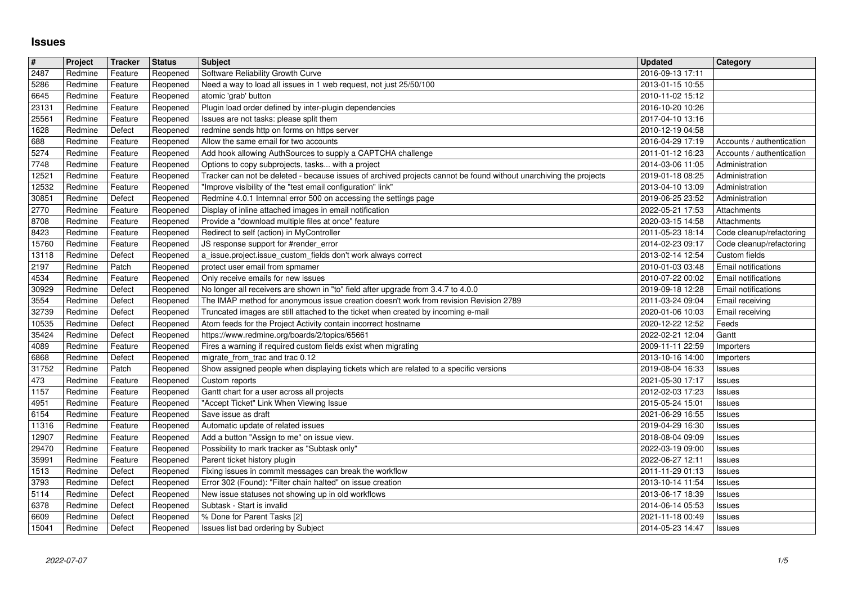## **Issues**

| $\#$           | Project            | Tracker            | <b>Status</b>        | <b>Subject</b>                                                                                                                                      | <b>Updated</b>                       | <b>Category</b>                                      |
|----------------|--------------------|--------------------|----------------------|-----------------------------------------------------------------------------------------------------------------------------------------------------|--------------------------------------|------------------------------------------------------|
| 2487<br>5286   | Redmine<br>Redmine | Feature<br>Feature | Reopened<br>Reopened | Software Reliability Growth Curve<br>Need a way to load all issues in 1 web request, not just 25/50/100                                             | 2016-09-13 17:11<br>2013-01-15 10:55 |                                                      |
| 6645           | Redmine            | Feature            | Reopened             | atomic 'grab' button                                                                                                                                | 2010-11-02 15:12                     |                                                      |
| 23131<br>25561 | Redmine<br>Redmine | Feature<br>Feature | Reopened<br>Reopened | Plugin load order defined by inter-plugin dependencies<br>Issues are not tasks: please split them                                                   | 2016-10-20 10:26<br>2017-04-10 13:16 |                                                      |
| 1628           | Redmine            | Defect             | Reopened             | redmine sends http on forms on https server                                                                                                         | 2010-12-19 04:58                     |                                                      |
| 688            | Redmine            | Feature            | Reopened             | Allow the same email for two accounts                                                                                                               | 2016-04-29 17:19                     | Accounts / authentication                            |
| 5274<br>7748   | Redmine<br>Redmine | Feature<br>Feature | Reopened<br>Reopened | Add hook allowing AuthSources to supply a CAPTCHA challenge<br>Options to copy subprojects, tasks with a project                                    | 2011-01-12 16:23<br>2014-03-06 11:05 | Accounts / authentication<br>Administration          |
| 12521          | Redmine            | Feature            | Reopened             | Tracker can not be deleted - because issues of archived projects cannot be found without unarchiving the projects                                   | 2019-01-18 08:25                     | Administration                                       |
| 12532          | Redmine<br>Redmine | Feature<br>Defect  | Reopened             | "Improve visibility of the "test email configuration" link"<br>Redmine 4.0.1 Internnal error 500 on accessing the settings page                     | 2013-04-10 13:09                     | Administration<br>Administration                     |
| 30851<br>2770  | Redmine            | Feature            | Reopened<br>Reopened | Display of inline attached images in email notification                                                                                             | 2019-06-25 23:52<br>2022-05-21 17:53 | Attachments                                          |
| 8708           | Redmine            | Feature            | Reopened             | Provide a "download multiple files at once" feature                                                                                                 | 2020-03-15 14:58                     | Attachments                                          |
| 8423<br>15760  | Redmine<br>Redmine | Feature<br>Feature | Reopened<br>Reopened | Redirect to self (action) in MyController<br>JS response support for #render_error                                                                  | 2011-05-23 18:14<br>2014-02-23 09:17 | Code cleanup/refactoring<br>Code cleanup/refactoring |
| 13118          | Redmine            | Defect             | Reopened             | a_issue.project.issue_custom_fields don't work always correct                                                                                       | 2013-02-14 12:54                     | Custom fields                                        |
| 2197           | Redmine<br>Redmine | Patch<br>Feature   | Reopened             | protect user email from spmamer<br>Only receive emails for new issues                                                                               | 2010-01-03 03:48<br>2010-07-22 00:02 | <b>Email notifications</b><br>Email notifications    |
| 4534<br>30929  | Redmine            | Defect             | Reopened<br>Reopened | No longer all receivers are shown in "to" field after upgrade from 3.4.7 to 4.0.0                                                                   | 2019-09-18 12:28                     | Email notifications                                  |
| 3554           | Redmine            | Defect             | Reopened             | The IMAP method for anonymous issue creation doesn't work from revision Revision 2789                                                               | 2011-03-24 09:04                     | Email receiving                                      |
| 32739<br>10535 | Redmine<br>Redmine | Defect<br>Defect   | Reopened<br>Reopened | Truncated images are still attached to the ticket when created by incoming e-mail<br>Atom feeds for the Project Activity contain incorrect hostname | 2020-01-06 10:03<br>2020-12-22 12:52 | Email receiving<br>Feeds                             |
| 35424          | Redmine            | Defect             | Reopened             | https://www.redmine.org/boards/2/topics/65661                                                                                                       | 2022-02-21 12:04                     | Gantt                                                |
| 4089<br>6868   | Redmine<br>Redmine | Feature<br>Defect  | Reopened             | Fires a warning if required custom fields exist when migrating<br>migrate_from_trac and trac 0.12                                                   | 2009-11-11 22:59<br>2013-10-16 14:00 | Importers                                            |
| 31752          | Redmine            | Patch              | Reopened<br>Reopened | Show assigned people when displaying tickets which are related to a specific versions                                                               | 2019-08-04 16:33                     | Importers<br>Issues                                  |
| 473            | Redmine            | Feature            | Reopened             | Custom reports                                                                                                                                      | 2021-05-30 17:17                     | Issues                                               |
| 1157<br>4951   | Redmine<br>Redmine | Feature<br>Feature | Reopened<br>Reopened | Gantt chart for a user across all projects<br>"Accept Ticket" Link When Viewing Issue                                                               | 2012-02-03 17:23<br>2015-05-24 15:01 | Issues<br>Issues                                     |
| 6154           | Redmine            | Feature            | Reopened             | Save issue as draft                                                                                                                                 | 2021-06-29 16:55                     | <b>Issues</b>                                        |
| 11316          | Redmine            | Feature            | Reopened             | Automatic update of related issues                                                                                                                  | 2019-04-29 16:30                     | Issues                                               |
| 12907<br>29470 | Redmine<br>Redmine | Feature<br>Feature | Reopened<br>Reopened | Add a button "Assign to me" on issue view.<br>Possibility to mark tracker as "Subtask only"                                                         | 2018-08-04 09:09<br>2022-03-19 09:00 | Issues<br>Issues                                     |
| 35991          | Redmine            | Feature            | Reopened             | Parent ticket history plugin                                                                                                                        | 2022-06-27 12:11                     | Issues                                               |
| 1513<br>3793   | Redmine<br>Redmine | Defect<br>Defect   | Reopened<br>Reopened | Fixing issues in commit messages can break the workflow<br>Error 302 (Found): "Filter chain halted" on issue creation                               | 2011-11-29 01:13<br>2013-10-14 11:54 | Issues                                               |
| 5114           | Redmine            | Defect             | Reopened             | New issue statuses not showing up in old workflows                                                                                                  | 2013-06-17 18:39                     | Issues<br>Issues                                     |
| 6378           | Redmine            | Defect             | Reopened             | Subtask - Start is invalid                                                                                                                          | 2014-06-14 05:53                     | Issues                                               |
| 6609<br>15041  | Redmine<br>Redmine | Defect<br>Defect   | Reopened<br>Reopened | % Done for Parent Tasks [2]<br>Issues list bad ordering by Subject                                                                                  | 2021-11-18 00:49<br>2014-05-23 14:47 | Issues<br>Issues                                     |
|                |                    |                    |                      |                                                                                                                                                     |                                      |                                                      |
|                |                    |                    |                      |                                                                                                                                                     |                                      |                                                      |
|                |                    |                    |                      |                                                                                                                                                     |                                      |                                                      |
|                |                    |                    |                      |                                                                                                                                                     |                                      |                                                      |
|                |                    |                    |                      |                                                                                                                                                     |                                      |                                                      |
|                |                    |                    |                      |                                                                                                                                                     |                                      |                                                      |
|                |                    |                    |                      |                                                                                                                                                     |                                      |                                                      |
|                |                    |                    |                      |                                                                                                                                                     |                                      |                                                      |
|                |                    |                    |                      |                                                                                                                                                     |                                      |                                                      |
|                |                    |                    |                      |                                                                                                                                                     |                                      |                                                      |
|                |                    |                    |                      |                                                                                                                                                     |                                      |                                                      |
|                |                    |                    |                      |                                                                                                                                                     |                                      |                                                      |
|                |                    |                    |                      |                                                                                                                                                     |                                      |                                                      |
|                |                    |                    |                      |                                                                                                                                                     |                                      |                                                      |
|                |                    |                    |                      |                                                                                                                                                     |                                      |                                                      |
|                |                    |                    |                      |                                                                                                                                                     |                                      |                                                      |
|                |                    |                    |                      |                                                                                                                                                     |                                      |                                                      |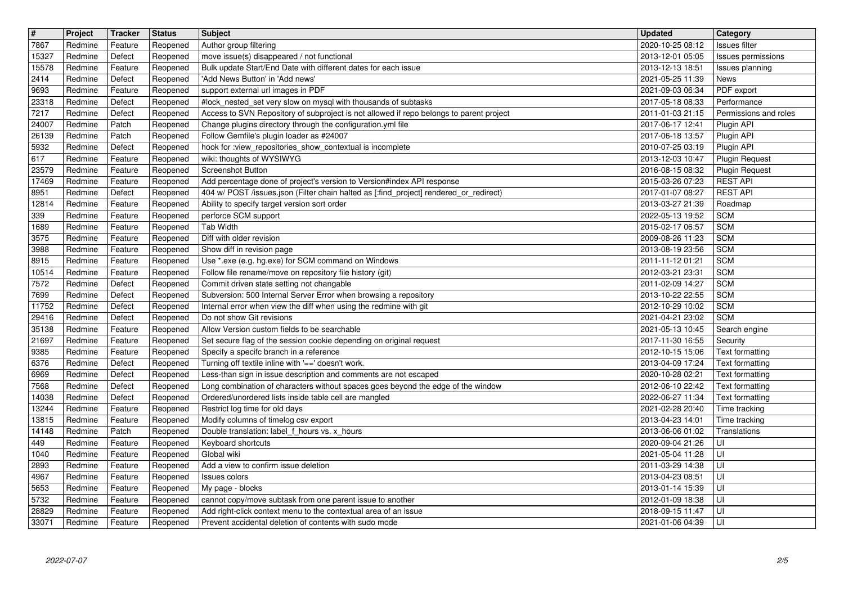| $\overline{\mathbf{H}}$ | Project            | Tracker            | <b>Status</b>        | <b>Subject</b>                                                                                                                                       | <b>Updated</b>                       | Category                                 |
|-------------------------|--------------------|--------------------|----------------------|------------------------------------------------------------------------------------------------------------------------------------------------------|--------------------------------------|------------------------------------------|
| 7867<br>15327           | Redmine<br>Redmine | Feature<br>Defect  | Reopened<br>Reopened | Author group filtering<br>move issue(s) disappeared / not functional                                                                                 | 2020-10-25 08:12<br>2013-12-01 05:05 | Issues filter<br>Issues permissions      |
| 15578                   | Redmine            | Feature            | Reopened             | Bulk update Start/End Date with different dates for each issue                                                                                       | 2013-12-13 18:51                     | Issues planning                          |
| 2414                    | Redmine<br>Redmine | Defect             | Reopened             | 'Add News Button' in 'Add news'                                                                                                                      | 2021-05-25 11:39                     | News                                     |
| 9693<br>23318           | Redmine            | Feature<br>Defect  | Reopened<br>Reopened | support external url images in PDF<br>#lock_nested_set very slow on mysql with thousands of subtasks                                                 | 2021-09-03 06:34<br>2017-05-18 08:33 | PDF export<br>Performance                |
| 7217                    | Redmine            | Defect             | Reopened             | Access to SVN Repository of subproject is not allowed if repo belongs to parent project                                                              | 2011-01-03 21:15                     | Permissions and roles                    |
| 24007<br>26139          | Redmine<br>Redmine | Patch<br>Patch     | Reopened<br>Reopened | Change plugins directory through the configuration.yml file<br>Follow Gemfile's plugin loader as #24007                                              | 2017-06-17 12:41<br>2017-06-18 13:57 | Plugin API<br>Plugin API                 |
| 5932                    | Redmine            | Defect             | Reopened             | hook for :view_repositories_show_contextual is incomplete                                                                                            | 2010-07-25 03:19                     | Plugin API                               |
| 617                     | Redmine            | Feature            | Reopened             | wiki: thoughts of WYSIWYG                                                                                                                            | 2013-12-03 10:47                     | <b>Plugin Request</b>                    |
| 23579<br>17469          | Redmine<br>Redmine | Feature<br>Feature | Reopened<br>Reopened | Screenshot Button<br>Add percentage done of project's version to Version#index API response                                                          | 2016-08-15 08:32<br>2015-03-26 07:23 | <b>Plugin Request</b><br><b>REST API</b> |
| 8951                    | Redmine            | Defect             | Reopened             | 404 w/ POST /issues.json (Filter chain halted as [:find_project] rendered_or_redirect)                                                               | 2017-01-07 08:27                     | <b>REST API</b>                          |
| 12814<br>339            | Redmine<br>Redmine | Feature<br>Feature | Reopened<br>Reopened | Ability to specify target version sort order                                                                                                         | 2013-03-27 21:39<br>2022-05-13 19:52 | Roadmap<br><b>SCM</b>                    |
| 1689                    | Redmine            | Feature            | Reopened             | perforce SCM support<br><b>Tab Width</b>                                                                                                             | 2015-02-17 06:57                     | <b>SCM</b>                               |
| 3575                    | Redmine            | Feature            | Reopened             | Diff with older revision                                                                                                                             | 2009-08-26 11:23                     | <b>SCM</b>                               |
| 3988<br>8915            | Redmine<br>Redmine | Feature<br>Feature | Reopened<br>Reopened | Show diff in revision page<br>Use *.exe (e.g. hg.exe) for SCM command on Windows                                                                     | 2013-08-19 23:56<br>2011-11-12 01:21 | <b>SCM</b><br><b>SCM</b>                 |
| 10514                   | Redmine            | Feature            | Reopened             | Follow file rename/move on repository file history (git)                                                                                             | 2012-03-21 23:31                     | <b>SCM</b>                               |
| 7572                    | Redmine            | Defect             | Reopened             | Commit driven state setting not changable                                                                                                            | 2011-02-09 14:27                     | <b>SCM</b>                               |
| 7699<br>11752           | Redmine<br>Redmine | Defect<br>Defect   | Reopened<br>Reopened | Subversion: 500 Internal Server Error when browsing a repository<br>Internal error when view the diff when using the redmine with git                | 2013-10-22 22:55<br>2012-10-29 10:02 | <b>SCM</b><br><b>SCM</b>                 |
| 29416                   | Redmine            | Defect             | Reopened             | Do not show Git revisions                                                                                                                            | 2021-04-21 23:02                     | <b>SCM</b>                               |
| 35138<br>21697          | Redmine<br>Redmine | Feature<br>Feature | Reopened<br>Reopened | Allow Version custom fields to be searchable<br>Set secure flag of the session cookie depending on original request                                  | 2021-05-13 10:45<br>2017-11-30 16:55 | Search engine<br>Security                |
| 9385                    | Redmine            | Feature            | Reopened             | Specify a specifc branch in a reference                                                                                                              | 2012-10-15 15:06                     | Text formatting                          |
| 6376                    | Redmine            | Defect             | Reopened             | Turning off textile inline with '==' doesn't work.                                                                                                   | 2013-04-09 17:24                     | Text formatting                          |
| 6969<br>7568            | Redmine<br>Redmine | Defect<br>Defect   | Reopened<br>Reopened | Less-than sign in issue description and comments are not escaped<br>Long combination of characters without spaces goes beyond the edge of the window | 2020-10-28 02:21<br>2012-06-10 22:42 | Text formatting<br>Text formatting       |
| 14038                   | Redmine            | Defect             | Reopened             | Ordered/unordered lists inside table cell are mangled                                                                                                | 2022-06-27 11:34                     | Text formatting                          |
| 13244                   | Redmine            | Feature            | Reopened             | Restrict log time for old days                                                                                                                       | 2021-02-28 20:40                     | Time tracking                            |
| 13815<br>14148          | Redmine<br>Redmine | Feature<br>Patch   | Reopened<br>Reopened | Modify columns of timelog csv export<br>Double translation: label_f_hours vs. x_hours                                                                | 2013-04-23 14:01<br>2013-06-06 01:02 | Time tracking<br>Translations            |
| 449                     | Redmine            | Feature            | Reopened             | Keyboard shortcuts                                                                                                                                   | 2020-09-04 21:26                     | UI                                       |
| 1040                    | Redmine            | Feature            | Reopened             | Global wiki                                                                                                                                          | 2021-05-04 11:28                     | l UI                                     |
| 2893<br>4967            | Redmine<br>Redmine | Feature<br>Feature | Reopened<br>Reopened | Add a view to confirm issue deletion<br>Issues colors                                                                                                | 2011-03-29 14:38<br>2013-04-23 08:51 | l UI<br> U                               |
| 5653                    | Redmine            | Feature            | Reopened             | My page - blocks                                                                                                                                     | 2013-01-14 15:39                     | l UI                                     |
| 5732<br>28829           | Redmine<br>Redmine | Feature<br>Feature | Reopened<br>Reopened | cannot copy/move subtask from one parent issue to another<br>Add right-click context menu to the contextual area of an issue                         | 2012-01-09 18:38<br>2018-09-15 11:47 | l UI<br>∣∪I                              |
| 33071                   | Redmine            | Feature            | Reopened             | Prevent accidental deletion of contents with sudo mode                                                                                               | 2021-01-06 04:39                     | l UI                                     |
|                         |                    |                    |                      |                                                                                                                                                      |                                      |                                          |
|                         |                    |                    |                      |                                                                                                                                                      |                                      |                                          |
|                         |                    |                    |                      |                                                                                                                                                      |                                      |                                          |
|                         |                    |                    |                      |                                                                                                                                                      |                                      |                                          |
|                         |                    |                    |                      |                                                                                                                                                      |                                      |                                          |
|                         |                    |                    |                      |                                                                                                                                                      |                                      |                                          |
|                         |                    |                    |                      |                                                                                                                                                      |                                      |                                          |
|                         |                    |                    |                      |                                                                                                                                                      |                                      |                                          |
|                         |                    |                    |                      |                                                                                                                                                      |                                      |                                          |
|                         |                    |                    |                      |                                                                                                                                                      |                                      |                                          |
|                         |                    |                    |                      |                                                                                                                                                      |                                      |                                          |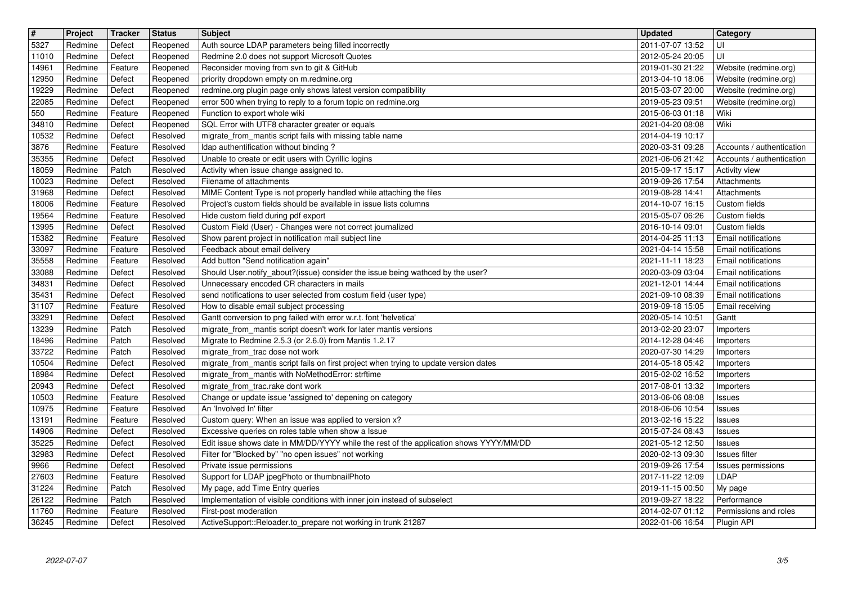| $\overline{\mathbf{H}}$ | Project            | Tracker            | <b>Status</b>        | <b>Subject</b>                                                                                                                            | <b>Updated</b>                            | <b>Category</b>                                |
|-------------------------|--------------------|--------------------|----------------------|-------------------------------------------------------------------------------------------------------------------------------------------|-------------------------------------------|------------------------------------------------|
| 5327                    | Redmine            | Defect             | Reopened             | Auth source LDAP parameters being filled incorrectly                                                                                      | 2011-07-07 13:52                          | UI                                             |
| 11010                   | Redmine<br>Redmine | Defect<br>Feature  | Reopened             | Redmine 2.0 does not support Microsoft Quotes<br>Reconsider moving from svn to git & GitHub                                               | 2012-05-24 20:05<br>2019-01-30 21:22      | luı                                            |
| 14961<br>12950          | Redmine            | Defect             | Reopened<br>Reopened | priority dropdown empty on m.redmine.org                                                                                                  | 2013-04-10 18:06                          | Website (redmine.org)<br>Website (redmine.org) |
| 19229                   | Redmine            | Defect             | Reopened             | redmine.org plugin page only shows latest version compatibility                                                                           | 2015-03-07 20:00                          | Website (redmine.org)                          |
| 22085                   | Redmine            | Defect             | Reopened             | error 500 when trying to reply to a forum topic on redmine.org                                                                            | 2019-05-23 09:51                          | Website (redmine.org)                          |
| 550                     | Redmine            | Feature            | Reopened             | Function to export whole wiki                                                                                                             | 2015-06-03 01:18                          | Wiki                                           |
| 34810<br>10532          | Redmine<br>Redmine | Defect<br>Defect   | Reopened<br>Resolved | SQL Error with UTF8 character greater or equals<br>migrate_from_mantis script fails with missing table name                               | 2021-04-20 08:08<br>2014-04-19 10:17      | Wiki                                           |
| 3876                    | Redmine            | Feature            | Resolved             | Idap authentification without binding?                                                                                                    | 2020-03-31 09:28                          | Accounts / authentication                      |
| 35355                   | Redmine            | Defect             | Resolved             | Unable to create or edit users with Cyrillic logins                                                                                       | 2021-06-06 21:42                          | Accounts / authentication                      |
| 18059                   | Redmine            | Patch              | Resolved             | Activity when issue change assigned to.                                                                                                   | 2015-09-17 15:17                          | Activity view                                  |
| 10023                   | Redmine            | Defect             | Resolved             | Filename of attachments                                                                                                                   | 2019-09-26 17:54                          | Attachments                                    |
| 31968<br>18006          | Redmine<br>Redmine | Defect<br>Feature  | Resolved<br>Resolved | MIME Content Type is not properly handled while attaching the files<br>Project's custom fields should be available in issue lists columns | 2019-08-28 14:41<br>2014-10-07 16:15      | Attachments<br>Custom fields                   |
| 19564                   | Redmine            | Feature            | Resolved             | Hide custom field during pdf export                                                                                                       | 2015-05-07 06:26                          | Custom fields                                  |
| 13995                   | Redmine            | Defect             | Resolved             | Custom Field (User) - Changes were not correct journalized                                                                                | 2016-10-14 09:01                          | Custom fields                                  |
| 15382<br>33097          | Redmine<br>Redmine | Feature<br>Feature | Resolved<br>Resolved | Show parent project in notification mail subject line<br>Feedback about email delivery                                                    | 2014-04-25 11:13<br>2021-04-14 15:58      | Email notifications<br>Email notifications     |
| 35558                   | Redmine            | Feature            | Resolved             | Add button "Send notification again"                                                                                                      | 2021-11-11 18:23                          | Email notifications                            |
| 33088                   | Redmine            | Defect             | Resolved             | Should User.notify_about?(issue) consider the issue being wathced by the user?                                                            | 2020-03-09 03:04                          | Email notifications                            |
| 34831                   | Redmine            | Defect             | Resolved             | Unnecessary encoded CR characters in mails                                                                                                | 2021-12-01 14:44                          | Email notifications                            |
| 35431<br>31107          | Redmine<br>Redmine | Defect<br>Feature  | Resolved<br>Resolved | send notifications to user selected from costum field (user type)<br>How to disable email subject processing                              | 2021-09-10 08:39<br>2019-09-18 15:05      | Email notifications<br>Email receiving         |
| 33291                   | Redmine            | Defect             | Resolved             | Gantt conversion to png failed with error w.r.t. font 'helvetica'                                                                         | 2020-05-14 10:51                          | Gantt                                          |
| 13239                   | Redmine            | Patch              | Resolved             | migrate_from_mantis script doesn't work for later mantis versions                                                                         | 2013-02-20 23:07                          | Importers                                      |
| 18496                   | Redmine            | Patch              | Resolved             | Migrate to Redmine 2.5.3 (or 2.6.0) from Mantis 1.2.17                                                                                    | 2014-12-28 04:46                          | Importers                                      |
| 33722<br>10504          | Redmine<br>Redmine | Patch<br>Defect    | Resolved<br>Resolved | migrate_from_trac dose not work<br>migrate_from_mantis script fails on first project when trying to update version dates                  | 2020-07-30 14:29<br>2014-05-18 05:42      | Importers<br>Importers                         |
| 18984                   | Redmine            | Defect             | Resolved             | migrate_from_mantis with NoMethodError: strftime                                                                                          | 2015-02-02 16:52                          | Importers                                      |
| 20943                   | Redmine            | Defect             | Resolved             | migrate_from_trac.rake dont work                                                                                                          | 2017-08-01 13:32                          | Importers                                      |
| 10503                   | Redmine            | Feature            | Resolved             | Change or update issue 'assigned to' depening on category                                                                                 | 2013-06-06 08:08                          | <b>Issues</b>                                  |
| 10975<br>13191          | Redmine<br>Redmine | Feature<br>Feature | Resolved<br>Resolved | An 'Involved In' filter<br>Custom query: When an issue was applied to version x?                                                          | 2018-06-06 10:54<br>2013-02-16 15:22      | Issues<br>Issues                               |
| 14906                   | Redmine            | Defect             | Resolved             | Excessive queries on roles table when show a Issue                                                                                        | 2015-07-24 08:43                          | Issues                                         |
| 35225                   | Redmine            | Defect             | Resolved             | Edit issue shows date in MM/DD/YYYY while the rest of the application shows YYYY/MM/DD                                                    | 2021-05-12 12:50                          | Issues                                         |
| 32983                   | Redmine            | Defect             | Resolved             | Filter for "Blocked by" "no open issues" not working                                                                                      | 2020-02-13 09:30                          | Issues filter                                  |
| 9966<br>27603           | Redmine<br>Redmine | Defect<br>Feature  | Resolved<br>Resolved | Private issue permissions<br>Support for LDAP jpegPhoto or thumbnailPhoto                                                                 | 2019-09-26 17:54<br>2017-11-22 12:09 LDAP | Issues permissions                             |
| 31224                   | Redmine            | Patch              | Resolved             | My page, add Time Entry queries                                                                                                           | 2019-11-15 00:50                          | My page                                        |
| 26122                   | Redmine            | Patch              | Resolved             | Implementation of visible conditions with inner join instead of subselect                                                                 | 2019-09-27 18:22                          | Performance                                    |
| 11760<br>36245          | Redmine<br>Redmine | Feature<br>Defect  | Resolved<br>Resolved | First-post moderation<br>ActiveSupport::Reloader.to_prepare not working in trunk 21287                                                    | 2014-02-07 01:12<br>2022-01-06 16:54      | Permissions and roles<br>Plugin API            |
|                         |                    |                    |                      |                                                                                                                                           |                                           |                                                |
|                         |                    |                    |                      |                                                                                                                                           |                                           |                                                |
|                         |                    |                    |                      |                                                                                                                                           |                                           |                                                |
|                         |                    |                    |                      |                                                                                                                                           |                                           |                                                |
|                         |                    |                    |                      |                                                                                                                                           |                                           |                                                |
|                         |                    |                    |                      |                                                                                                                                           |                                           |                                                |
|                         |                    |                    |                      |                                                                                                                                           |                                           |                                                |
|                         |                    |                    |                      |                                                                                                                                           |                                           |                                                |
|                         |                    |                    |                      |                                                                                                                                           |                                           |                                                |
|                         |                    |                    |                      |                                                                                                                                           |                                           |                                                |
|                         |                    |                    |                      |                                                                                                                                           |                                           |                                                |
|                         |                    |                    |                      |                                                                                                                                           |                                           |                                                |
|                         |                    |                    |                      |                                                                                                                                           |                                           |                                                |
|                         |                    |                    |                      |                                                                                                                                           |                                           |                                                |
|                         |                    |                    |                      |                                                                                                                                           |                                           |                                                |
|                         |                    |                    |                      |                                                                                                                                           |                                           |                                                |
|                         |                    |                    |                      |                                                                                                                                           |                                           |                                                |
|                         |                    |                    |                      |                                                                                                                                           |                                           |                                                |
|                         |                    |                    |                      |                                                                                                                                           |                                           |                                                |
|                         |                    |                    |                      |                                                                                                                                           |                                           |                                                |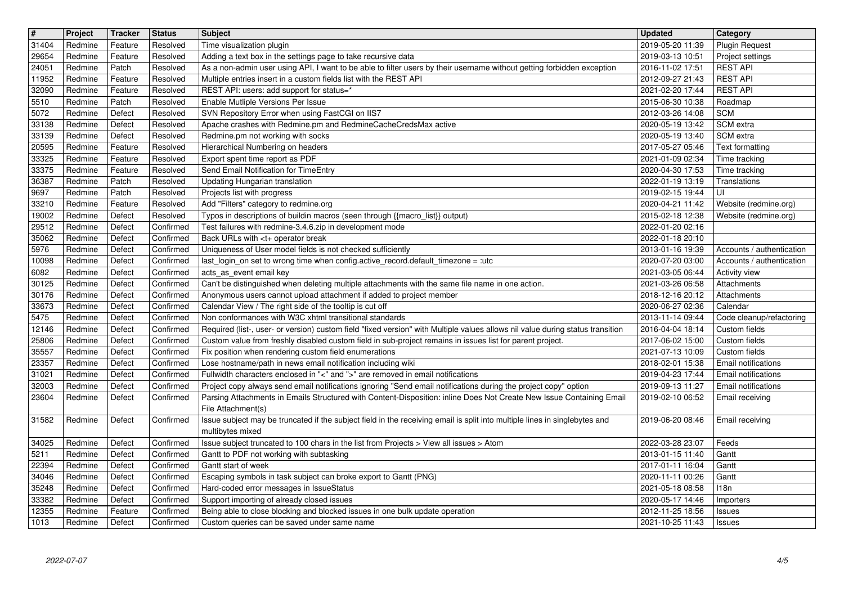| 31404<br>Redmine<br>Resolved<br>Adding a text box in the settings page to take recursive data<br>2019-03-13 10:51<br>Project settings<br>29654<br>Feature<br><b>REST API</b><br>Patch<br>As a non-admin user using API, I want to be able to filter users by their username without getting forbidden exception<br>2016-11-02 17:51<br>24051<br>Redmine<br>Resolved<br><b>REST API</b><br>Redmine<br>Multiple entries insert in a custom fields list with the REST API<br>2012-09-27 21:43<br>Feature<br>Resolved<br><b>REST API</b><br>REST API: users: add support for status=*<br>2021-02-20 17:44<br>Redmine<br>Feature<br>Resolved<br>Redmine<br>Patch<br>Enable Mutliple Versions Per Issue<br>2015-06-30 10:38<br>Resolved<br>Roadmap<br>SVN Repository Error when using FastCGI on IIS7<br>5072<br><b>SCM</b><br>Redmine<br>Defect<br>Resolved<br>2012-03-26 14:08<br>33138<br>Apache crashes with Redmine.pm and RedmineCacheCredsMax active<br>SCM extra<br>Redmine<br>Defect<br>Resolved<br>2020-05-19 13:42<br>Redmine.pm not working with socks<br>SCM extra<br>Redmine<br>Defect<br>Resolved<br>2020-05-19 13:40<br>Hierarchical Numbering on headers<br>Redmine<br>Feature<br>Resolved<br>2017-05-27 05:46<br>Text formatting<br>33325<br>Export spent time report as PDF<br>Redmine<br>Feature<br>Resolved<br>2021-01-09 02:34<br>Time tracking<br>33375<br>Send Email Notification for TimeEntry<br>2020-04-30 17:53<br>Redmine<br>Feature<br>Resolved<br>Time tracking<br>36387<br>Updating Hungarian translation<br>Redmine<br>Patch<br>Resolved<br>2022-01-19 13:19<br>Translations<br>Projects list with progress<br>luı<br>Redmine<br>Patch<br>Resolved<br>2019-02-15 19:44<br>Add "Filters" category to redmine.org<br>Redmine<br>Feature<br>Resolved<br>2020-04-21 11:42<br>Website (redmine.org)<br>19002<br>Typos in descriptions of buildin macros (seen through {{macro_list}} output)<br>Redmine<br>Defect<br>Resolved<br>2015-02-18 12:38<br>Website (redmine.org)<br>29512<br>Test failures with redmine-3.4.6.zip in development mode<br>Redmine<br>Defect<br>Confirmed<br>2022-01-20 02:16<br>Redmine<br>Defect<br>Back URLs with <t+ break<br="" operator="">35062<br/>Confirmed<br/>2022-01-18 20:10<br/>Uniqueness of User model fields is not checked sufficiently<br/>Redmine<br/>Defect<br/>Confirmed<br/>2013-01-16 19:39<br/>Accounts / authentication<br/>Redmine<br/>Defect<br/>last_login_on set to wrong time when config.active_record.default_timezone = :utc<br/>2020-07-20 03:00<br/>Confirmed<br/>Accounts / authentication<br/>acts_as_event email key<br/>2021-03-05 06:44<br/>6082<br/>Redmine<br/>Defect<br/>Confirmed<br/>Activity view<br/>Can't be distinguished when deleting multiple attachments with the same file name in one action.<br/>30125<br/>2021-03-26 06:58<br/>Redmine<br/>Defect<br/>Confirmed<br/>Attachments<br/>30176<br/>Anonymous users cannot upload attachment if added to project member<br/>Redmine<br/>Defect<br/>Confirmed<br/>2018-12-16 20:12<br/>Attachments<br/>Calendar View / The right side of the tooltip is cut off<br/>2020-06-27 02:36<br/>Redmine<br/>Defect<br/>Confirmed<br/>Calendar<br/>Non conformances with W3C xhtml transitional standards<br/>Redmine<br/>Defect<br/>Confirmed<br/>2013-11-14 09:44<br/>Code cleanup/refactoring<br/>Confirmed<br/>Required (list-, user- or version) custom field "fixed version" with Multiple values allows nil value during status transition<br/>12146<br/>Redmine<br/>Defect<br/>Custom fields<br/>2016-04-04 18:14<br/>Custom value from freshly disabled custom field in sub-project remains in issues list for parent project.<br/>25806<br/>Redmine<br/>Defect<br/>Confirmed<br/>2017-06-02 15:00<br/>Custom fields<br/>35557<br/>Redmine<br/>Defect<br/>Confirmed<br/>Fix position when rendering custom field enumerations<br/>2021-07-13 10:09<br/>Custom fields<br/>Lose hostname/path in news email notification including wiki<br/>Redmine<br/>Defect<br/>Confirmed<br/>2018-02-01 15:38<br/>Email notifications<br/>Fullwidth characters enclosed in "&lt;" and "&gt;" are removed in email notifications<br/>Redmine<br/>Defect<br/>Confirmed<br/>2019-04-23 17:44<br/>Email notifications<br/>Project copy always send email notifications ignoring "Send email notifications during the project copy" option<br/>Redmine<br/>Defect<br/>Confirmed<br/>2019-09-13 11:27<br/>Email notifications<br/>Parsing Attachments in Emails Structured with Content-Disposition: inline Does Not Create New Issue Containing Email<br/>23604<br/>Redmine<br/>Confirmed<br/>Defect<br/>2019-02-10 06:52<br/>Email receiving<br/>File Attachment(s)<br/>Issue subject may be truncated if the subject field in the receiving email is split into multiple lines in singlebytes and<br/>Redmine<br/>Defect<br/>Confirmed<br/>2019-06-20 08:46<br/>Email receiving<br/>multibytes mixed<br/>Issue subject truncated to 100 chars in the list from Projects &gt; View all issues &gt; Atom<br/>Redmine<br/>Defect<br/>Confirmed<br/>2022-03-28 23:07<br/>Feeds<br/>5211<br/>Redmine<br/>Defect<br/>Confirmed<br/>Gantt to PDF not working with subtasking<br/>2013-01-15 11:40<br/>Gantt<br/>22394<br/>Defect<br/>Redmine<br/>Confirmed<br/>Gantt start of week<br/>2017-01-11 16:04<br/>Gantt<br/>Redmine<br/>Defect<br/>Confirmed<br/>2020-11-11 00:26<br/>Gantt<br/>Escaping symbols in task subject can broke export to Gantt (PNG)<br/>2021-05-18 08:58<br/>Redmine<br/>Defect<br/>Confirmed<br/>Hard-coded error messages in IssueStatus<br/>118n<br/>Support importing of already closed issues<br/>33382<br/>Redmine<br/>Defect<br/>Confirmed<br/>2020-05-17 14:46<br/>Importers<br/>Being able to close blocking and blocked issues in one bulk update operation<br/>12355<br/>Redmine<br/>Feature<br/>Confirmed<br/>2012-11-25 18:56<br/>Issues<br/>Defect<br/>Custom queries can be saved under same name<br/>1013<br/>Redmine<br/>Confirmed<br/>2021-10-25 11:43<br/>Issues<br/>4/5<br/>2022-07-07</t+> |       | Project | Tracker | <b>Status</b> | <b>Subject</b>            | <b>Updated</b>   | <b>Category</b>       |
|------------------------------------------------------------------------------------------------------------------------------------------------------------------------------------------------------------------------------------------------------------------------------------------------------------------------------------------------------------------------------------------------------------------------------------------------------------------------------------------------------------------------------------------------------------------------------------------------------------------------------------------------------------------------------------------------------------------------------------------------------------------------------------------------------------------------------------------------------------------------------------------------------------------------------------------------------------------------------------------------------------------------------------------------------------------------------------------------------------------------------------------------------------------------------------------------------------------------------------------------------------------------------------------------------------------------------------------------------------------------------------------------------------------------------------------------------------------------------------------------------------------------------------------------------------------------------------------------------------------------------------------------------------------------------------------------------------------------------------------------------------------------------------------------------------------------------------------------------------------------------------------------------------------------------------------------------------------------------------------------------------------------------------------------------------------------------------------------------------------------------------------------------------------------------------------------------------------------------------------------------------------------------------------------------------------------------------------------------------------------------------------------------------------------------------------------------------------------------------------------------------------------------------------------------------------------------------------------------------------------------------------------------------------------------------------------------------------------------------------------------------------------------------------------------------------------------------------------------------------------------------------------------------------------------------------------------------------------------------------------------------------------------------------------------------------------------------------------------------------------------------------------------------------------------------------------------------------------------------------------------------------------------------------------------------------------------------------------------------------------------------------------------------------------------------------------------------------------------------------------------------------------------------------------------------------------------------------------------------------------------------------------------------------------------------------------------------------------------------------------------------------------------------------------------------------------------------------------------------------------------------------------------------------------------------------------------------------------------------------------------------------------------------------------------------------------------------------------------------------------------------------------------------------------------------------------------------------------------------------------------------------------------------------------------------------------------------------------------------------------------------------------------------------------------------------------------------------------------------------------------------------------------------------------------------------------------------------------------------------------------------------------------------------------------------------------------------------------------------------------------------------------------------------------------------------------------------------------------------------------------------------------------------------------------------------------------------------------------------------------------------------------------------------------------------------------------------------------------------------------------------------------------------------------------------------------------------------------------------------------------------------------------------------------------------------------------------------------------------------------------------------------------------------------------------------------------------------------------------------------------------------------------------------------------------------------------------------------------------------------------------------------------------------------------------------------------------------------------------------------------------------------------------------------------------------------------------------------------------------------------------------------------------------------------------------------------------------------------------------------------------------------------------------------------------------|-------|---------|---------|---------------|---------------------------|------------------|-----------------------|
|                                                                                                                                                                                                                                                                                                                                                                                                                                                                                                                                                                                                                                                                                                                                                                                                                                                                                                                                                                                                                                                                                                                                                                                                                                                                                                                                                                                                                                                                                                                                                                                                                                                                                                                                                                                                                                                                                                                                                                                                                                                                                                                                                                                                                                                                                                                                                                                                                                                                                                                                                                                                                                                                                                                                                                                                                                                                                                                                                                                                                                                                                                                                                                                                                                                                                                                                                                                                                                                                                                                                                                                                                                                                                                                                                                                                                                                                                                                                                                                                                                                                                                                                                                                                                                                                                                                                                                                                                                                                                                                                                                                                                                                                                                                                                                                                                                                                                                                                                                                                                                                                                                                                                                                                                                                                                                                                                                                                                                                                                                                                                                                                                                                                                                                                                                                                                                                                                                                                                                                                                                                                  |       | Redmine | Feature | Resolved      | Time visualization plugin | 2019-05-20 11:39 | <b>Plugin Request</b> |
|                                                                                                                                                                                                                                                                                                                                                                                                                                                                                                                                                                                                                                                                                                                                                                                                                                                                                                                                                                                                                                                                                                                                                                                                                                                                                                                                                                                                                                                                                                                                                                                                                                                                                                                                                                                                                                                                                                                                                                                                                                                                                                                                                                                                                                                                                                                                                                                                                                                                                                                                                                                                                                                                                                                                                                                                                                                                                                                                                                                                                                                                                                                                                                                                                                                                                                                                                                                                                                                                                                                                                                                                                                                                                                                                                                                                                                                                                                                                                                                                                                                                                                                                                                                                                                                                                                                                                                                                                                                                                                                                                                                                                                                                                                                                                                                                                                                                                                                                                                                                                                                                                                                                                                                                                                                                                                                                                                                                                                                                                                                                                                                                                                                                                                                                                                                                                                                                                                                                                                                                                                                                  |       |         |         |               |                           |                  |                       |
|                                                                                                                                                                                                                                                                                                                                                                                                                                                                                                                                                                                                                                                                                                                                                                                                                                                                                                                                                                                                                                                                                                                                                                                                                                                                                                                                                                                                                                                                                                                                                                                                                                                                                                                                                                                                                                                                                                                                                                                                                                                                                                                                                                                                                                                                                                                                                                                                                                                                                                                                                                                                                                                                                                                                                                                                                                                                                                                                                                                                                                                                                                                                                                                                                                                                                                                                                                                                                                                                                                                                                                                                                                                                                                                                                                                                                                                                                                                                                                                                                                                                                                                                                                                                                                                                                                                                                                                                                                                                                                                                                                                                                                                                                                                                                                                                                                                                                                                                                                                                                                                                                                                                                                                                                                                                                                                                                                                                                                                                                                                                                                                                                                                                                                                                                                                                                                                                                                                                                                                                                                                                  | 11952 |         |         |               |                           |                  |                       |
|                                                                                                                                                                                                                                                                                                                                                                                                                                                                                                                                                                                                                                                                                                                                                                                                                                                                                                                                                                                                                                                                                                                                                                                                                                                                                                                                                                                                                                                                                                                                                                                                                                                                                                                                                                                                                                                                                                                                                                                                                                                                                                                                                                                                                                                                                                                                                                                                                                                                                                                                                                                                                                                                                                                                                                                                                                                                                                                                                                                                                                                                                                                                                                                                                                                                                                                                                                                                                                                                                                                                                                                                                                                                                                                                                                                                                                                                                                                                                                                                                                                                                                                                                                                                                                                                                                                                                                                                                                                                                                                                                                                                                                                                                                                                                                                                                                                                                                                                                                                                                                                                                                                                                                                                                                                                                                                                                                                                                                                                                                                                                                                                                                                                                                                                                                                                                                                                                                                                                                                                                                                                  | 32090 |         |         |               |                           |                  |                       |
|                                                                                                                                                                                                                                                                                                                                                                                                                                                                                                                                                                                                                                                                                                                                                                                                                                                                                                                                                                                                                                                                                                                                                                                                                                                                                                                                                                                                                                                                                                                                                                                                                                                                                                                                                                                                                                                                                                                                                                                                                                                                                                                                                                                                                                                                                                                                                                                                                                                                                                                                                                                                                                                                                                                                                                                                                                                                                                                                                                                                                                                                                                                                                                                                                                                                                                                                                                                                                                                                                                                                                                                                                                                                                                                                                                                                                                                                                                                                                                                                                                                                                                                                                                                                                                                                                                                                                                                                                                                                                                                                                                                                                                                                                                                                                                                                                                                                                                                                                                                                                                                                                                                                                                                                                                                                                                                                                                                                                                                                                                                                                                                                                                                                                                                                                                                                                                                                                                                                                                                                                                                                  | 5510  |         |         |               |                           |                  |                       |
|                                                                                                                                                                                                                                                                                                                                                                                                                                                                                                                                                                                                                                                                                                                                                                                                                                                                                                                                                                                                                                                                                                                                                                                                                                                                                                                                                                                                                                                                                                                                                                                                                                                                                                                                                                                                                                                                                                                                                                                                                                                                                                                                                                                                                                                                                                                                                                                                                                                                                                                                                                                                                                                                                                                                                                                                                                                                                                                                                                                                                                                                                                                                                                                                                                                                                                                                                                                                                                                                                                                                                                                                                                                                                                                                                                                                                                                                                                                                                                                                                                                                                                                                                                                                                                                                                                                                                                                                                                                                                                                                                                                                                                                                                                                                                                                                                                                                                                                                                                                                                                                                                                                                                                                                                                                                                                                                                                                                                                                                                                                                                                                                                                                                                                                                                                                                                                                                                                                                                                                                                                                                  |       |         |         |               |                           |                  |                       |
|                                                                                                                                                                                                                                                                                                                                                                                                                                                                                                                                                                                                                                                                                                                                                                                                                                                                                                                                                                                                                                                                                                                                                                                                                                                                                                                                                                                                                                                                                                                                                                                                                                                                                                                                                                                                                                                                                                                                                                                                                                                                                                                                                                                                                                                                                                                                                                                                                                                                                                                                                                                                                                                                                                                                                                                                                                                                                                                                                                                                                                                                                                                                                                                                                                                                                                                                                                                                                                                                                                                                                                                                                                                                                                                                                                                                                                                                                                                                                                                                                                                                                                                                                                                                                                                                                                                                                                                                                                                                                                                                                                                                                                                                                                                                                                                                                                                                                                                                                                                                                                                                                                                                                                                                                                                                                                                                                                                                                                                                                                                                                                                                                                                                                                                                                                                                                                                                                                                                                                                                                                                                  | 33139 |         |         |               |                           |                  |                       |
|                                                                                                                                                                                                                                                                                                                                                                                                                                                                                                                                                                                                                                                                                                                                                                                                                                                                                                                                                                                                                                                                                                                                                                                                                                                                                                                                                                                                                                                                                                                                                                                                                                                                                                                                                                                                                                                                                                                                                                                                                                                                                                                                                                                                                                                                                                                                                                                                                                                                                                                                                                                                                                                                                                                                                                                                                                                                                                                                                                                                                                                                                                                                                                                                                                                                                                                                                                                                                                                                                                                                                                                                                                                                                                                                                                                                                                                                                                                                                                                                                                                                                                                                                                                                                                                                                                                                                                                                                                                                                                                                                                                                                                                                                                                                                                                                                                                                                                                                                                                                                                                                                                                                                                                                                                                                                                                                                                                                                                                                                                                                                                                                                                                                                                                                                                                                                                                                                                                                                                                                                                                                  | 20595 |         |         |               |                           |                  |                       |
|                                                                                                                                                                                                                                                                                                                                                                                                                                                                                                                                                                                                                                                                                                                                                                                                                                                                                                                                                                                                                                                                                                                                                                                                                                                                                                                                                                                                                                                                                                                                                                                                                                                                                                                                                                                                                                                                                                                                                                                                                                                                                                                                                                                                                                                                                                                                                                                                                                                                                                                                                                                                                                                                                                                                                                                                                                                                                                                                                                                                                                                                                                                                                                                                                                                                                                                                                                                                                                                                                                                                                                                                                                                                                                                                                                                                                                                                                                                                                                                                                                                                                                                                                                                                                                                                                                                                                                                                                                                                                                                                                                                                                                                                                                                                                                                                                                                                                                                                                                                                                                                                                                                                                                                                                                                                                                                                                                                                                                                                                                                                                                                                                                                                                                                                                                                                                                                                                                                                                                                                                                                                  |       |         |         |               |                           |                  |                       |
|                                                                                                                                                                                                                                                                                                                                                                                                                                                                                                                                                                                                                                                                                                                                                                                                                                                                                                                                                                                                                                                                                                                                                                                                                                                                                                                                                                                                                                                                                                                                                                                                                                                                                                                                                                                                                                                                                                                                                                                                                                                                                                                                                                                                                                                                                                                                                                                                                                                                                                                                                                                                                                                                                                                                                                                                                                                                                                                                                                                                                                                                                                                                                                                                                                                                                                                                                                                                                                                                                                                                                                                                                                                                                                                                                                                                                                                                                                                                                                                                                                                                                                                                                                                                                                                                                                                                                                                                                                                                                                                                                                                                                                                                                                                                                                                                                                                                                                                                                                                                                                                                                                                                                                                                                                                                                                                                                                                                                                                                                                                                                                                                                                                                                                                                                                                                                                                                                                                                                                                                                                                                  |       |         |         |               |                           |                  |                       |
|                                                                                                                                                                                                                                                                                                                                                                                                                                                                                                                                                                                                                                                                                                                                                                                                                                                                                                                                                                                                                                                                                                                                                                                                                                                                                                                                                                                                                                                                                                                                                                                                                                                                                                                                                                                                                                                                                                                                                                                                                                                                                                                                                                                                                                                                                                                                                                                                                                                                                                                                                                                                                                                                                                                                                                                                                                                                                                                                                                                                                                                                                                                                                                                                                                                                                                                                                                                                                                                                                                                                                                                                                                                                                                                                                                                                                                                                                                                                                                                                                                                                                                                                                                                                                                                                                                                                                                                                                                                                                                                                                                                                                                                                                                                                                                                                                                                                                                                                                                                                                                                                                                                                                                                                                                                                                                                                                                                                                                                                                                                                                                                                                                                                                                                                                                                                                                                                                                                                                                                                                                                                  | 9697  |         |         |               |                           |                  |                       |
|                                                                                                                                                                                                                                                                                                                                                                                                                                                                                                                                                                                                                                                                                                                                                                                                                                                                                                                                                                                                                                                                                                                                                                                                                                                                                                                                                                                                                                                                                                                                                                                                                                                                                                                                                                                                                                                                                                                                                                                                                                                                                                                                                                                                                                                                                                                                                                                                                                                                                                                                                                                                                                                                                                                                                                                                                                                                                                                                                                                                                                                                                                                                                                                                                                                                                                                                                                                                                                                                                                                                                                                                                                                                                                                                                                                                                                                                                                                                                                                                                                                                                                                                                                                                                                                                                                                                                                                                                                                                                                                                                                                                                                                                                                                                                                                                                                                                                                                                                                                                                                                                                                                                                                                                                                                                                                                                                                                                                                                                                                                                                                                                                                                                                                                                                                                                                                                                                                                                                                                                                                                                  | 33210 |         |         |               |                           |                  |                       |
|                                                                                                                                                                                                                                                                                                                                                                                                                                                                                                                                                                                                                                                                                                                                                                                                                                                                                                                                                                                                                                                                                                                                                                                                                                                                                                                                                                                                                                                                                                                                                                                                                                                                                                                                                                                                                                                                                                                                                                                                                                                                                                                                                                                                                                                                                                                                                                                                                                                                                                                                                                                                                                                                                                                                                                                                                                                                                                                                                                                                                                                                                                                                                                                                                                                                                                                                                                                                                                                                                                                                                                                                                                                                                                                                                                                                                                                                                                                                                                                                                                                                                                                                                                                                                                                                                                                                                                                                                                                                                                                                                                                                                                                                                                                                                                                                                                                                                                                                                                                                                                                                                                                                                                                                                                                                                                                                                                                                                                                                                                                                                                                                                                                                                                                                                                                                                                                                                                                                                                                                                                                                  |       |         |         |               |                           |                  |                       |
|                                                                                                                                                                                                                                                                                                                                                                                                                                                                                                                                                                                                                                                                                                                                                                                                                                                                                                                                                                                                                                                                                                                                                                                                                                                                                                                                                                                                                                                                                                                                                                                                                                                                                                                                                                                                                                                                                                                                                                                                                                                                                                                                                                                                                                                                                                                                                                                                                                                                                                                                                                                                                                                                                                                                                                                                                                                                                                                                                                                                                                                                                                                                                                                                                                                                                                                                                                                                                                                                                                                                                                                                                                                                                                                                                                                                                                                                                                                                                                                                                                                                                                                                                                                                                                                                                                                                                                                                                                                                                                                                                                                                                                                                                                                                                                                                                                                                                                                                                                                                                                                                                                                                                                                                                                                                                                                                                                                                                                                                                                                                                                                                                                                                                                                                                                                                                                                                                                                                                                                                                                                                  |       |         |         |               |                           |                  |                       |
|                                                                                                                                                                                                                                                                                                                                                                                                                                                                                                                                                                                                                                                                                                                                                                                                                                                                                                                                                                                                                                                                                                                                                                                                                                                                                                                                                                                                                                                                                                                                                                                                                                                                                                                                                                                                                                                                                                                                                                                                                                                                                                                                                                                                                                                                                                                                                                                                                                                                                                                                                                                                                                                                                                                                                                                                                                                                                                                                                                                                                                                                                                                                                                                                                                                                                                                                                                                                                                                                                                                                                                                                                                                                                                                                                                                                                                                                                                                                                                                                                                                                                                                                                                                                                                                                                                                                                                                                                                                                                                                                                                                                                                                                                                                                                                                                                                                                                                                                                                                                                                                                                                                                                                                                                                                                                                                                                                                                                                                                                                                                                                                                                                                                                                                                                                                                                                                                                                                                                                                                                                                                  | 5976  |         |         |               |                           |                  |                       |
|                                                                                                                                                                                                                                                                                                                                                                                                                                                                                                                                                                                                                                                                                                                                                                                                                                                                                                                                                                                                                                                                                                                                                                                                                                                                                                                                                                                                                                                                                                                                                                                                                                                                                                                                                                                                                                                                                                                                                                                                                                                                                                                                                                                                                                                                                                                                                                                                                                                                                                                                                                                                                                                                                                                                                                                                                                                                                                                                                                                                                                                                                                                                                                                                                                                                                                                                                                                                                                                                                                                                                                                                                                                                                                                                                                                                                                                                                                                                                                                                                                                                                                                                                                                                                                                                                                                                                                                                                                                                                                                                                                                                                                                                                                                                                                                                                                                                                                                                                                                                                                                                                                                                                                                                                                                                                                                                                                                                                                                                                                                                                                                                                                                                                                                                                                                                                                                                                                                                                                                                                                                                  | 10098 |         |         |               |                           |                  |                       |
|                                                                                                                                                                                                                                                                                                                                                                                                                                                                                                                                                                                                                                                                                                                                                                                                                                                                                                                                                                                                                                                                                                                                                                                                                                                                                                                                                                                                                                                                                                                                                                                                                                                                                                                                                                                                                                                                                                                                                                                                                                                                                                                                                                                                                                                                                                                                                                                                                                                                                                                                                                                                                                                                                                                                                                                                                                                                                                                                                                                                                                                                                                                                                                                                                                                                                                                                                                                                                                                                                                                                                                                                                                                                                                                                                                                                                                                                                                                                                                                                                                                                                                                                                                                                                                                                                                                                                                                                                                                                                                                                                                                                                                                                                                                                                                                                                                                                                                                                                                                                                                                                                                                                                                                                                                                                                                                                                                                                                                                                                                                                                                                                                                                                                                                                                                                                                                                                                                                                                                                                                                                                  |       |         |         |               |                           |                  |                       |
|                                                                                                                                                                                                                                                                                                                                                                                                                                                                                                                                                                                                                                                                                                                                                                                                                                                                                                                                                                                                                                                                                                                                                                                                                                                                                                                                                                                                                                                                                                                                                                                                                                                                                                                                                                                                                                                                                                                                                                                                                                                                                                                                                                                                                                                                                                                                                                                                                                                                                                                                                                                                                                                                                                                                                                                                                                                                                                                                                                                                                                                                                                                                                                                                                                                                                                                                                                                                                                                                                                                                                                                                                                                                                                                                                                                                                                                                                                                                                                                                                                                                                                                                                                                                                                                                                                                                                                                                                                                                                                                                                                                                                                                                                                                                                                                                                                                                                                                                                                                                                                                                                                                                                                                                                                                                                                                                                                                                                                                                                                                                                                                                                                                                                                                                                                                                                                                                                                                                                                                                                                                                  |       |         |         |               |                           |                  |                       |
|                                                                                                                                                                                                                                                                                                                                                                                                                                                                                                                                                                                                                                                                                                                                                                                                                                                                                                                                                                                                                                                                                                                                                                                                                                                                                                                                                                                                                                                                                                                                                                                                                                                                                                                                                                                                                                                                                                                                                                                                                                                                                                                                                                                                                                                                                                                                                                                                                                                                                                                                                                                                                                                                                                                                                                                                                                                                                                                                                                                                                                                                                                                                                                                                                                                                                                                                                                                                                                                                                                                                                                                                                                                                                                                                                                                                                                                                                                                                                                                                                                                                                                                                                                                                                                                                                                                                                                                                                                                                                                                                                                                                                                                                                                                                                                                                                                                                                                                                                                                                                                                                                                                                                                                                                                                                                                                                                                                                                                                                                                                                                                                                                                                                                                                                                                                                                                                                                                                                                                                                                                                                  | 33673 |         |         |               |                           |                  |                       |
|                                                                                                                                                                                                                                                                                                                                                                                                                                                                                                                                                                                                                                                                                                                                                                                                                                                                                                                                                                                                                                                                                                                                                                                                                                                                                                                                                                                                                                                                                                                                                                                                                                                                                                                                                                                                                                                                                                                                                                                                                                                                                                                                                                                                                                                                                                                                                                                                                                                                                                                                                                                                                                                                                                                                                                                                                                                                                                                                                                                                                                                                                                                                                                                                                                                                                                                                                                                                                                                                                                                                                                                                                                                                                                                                                                                                                                                                                                                                                                                                                                                                                                                                                                                                                                                                                                                                                                                                                                                                                                                                                                                                                                                                                                                                                                                                                                                                                                                                                                                                                                                                                                                                                                                                                                                                                                                                                                                                                                                                                                                                                                                                                                                                                                                                                                                                                                                                                                                                                                                                                                                                  | 5475  |         |         |               |                           |                  |                       |
|                                                                                                                                                                                                                                                                                                                                                                                                                                                                                                                                                                                                                                                                                                                                                                                                                                                                                                                                                                                                                                                                                                                                                                                                                                                                                                                                                                                                                                                                                                                                                                                                                                                                                                                                                                                                                                                                                                                                                                                                                                                                                                                                                                                                                                                                                                                                                                                                                                                                                                                                                                                                                                                                                                                                                                                                                                                                                                                                                                                                                                                                                                                                                                                                                                                                                                                                                                                                                                                                                                                                                                                                                                                                                                                                                                                                                                                                                                                                                                                                                                                                                                                                                                                                                                                                                                                                                                                                                                                                                                                                                                                                                                                                                                                                                                                                                                                                                                                                                                                                                                                                                                                                                                                                                                                                                                                                                                                                                                                                                                                                                                                                                                                                                                                                                                                                                                                                                                                                                                                                                                                                  |       |         |         |               |                           |                  |                       |
|                                                                                                                                                                                                                                                                                                                                                                                                                                                                                                                                                                                                                                                                                                                                                                                                                                                                                                                                                                                                                                                                                                                                                                                                                                                                                                                                                                                                                                                                                                                                                                                                                                                                                                                                                                                                                                                                                                                                                                                                                                                                                                                                                                                                                                                                                                                                                                                                                                                                                                                                                                                                                                                                                                                                                                                                                                                                                                                                                                                                                                                                                                                                                                                                                                                                                                                                                                                                                                                                                                                                                                                                                                                                                                                                                                                                                                                                                                                                                                                                                                                                                                                                                                                                                                                                                                                                                                                                                                                                                                                                                                                                                                                                                                                                                                                                                                                                                                                                                                                                                                                                                                                                                                                                                                                                                                                                                                                                                                                                                                                                                                                                                                                                                                                                                                                                                                                                                                                                                                                                                                                                  |       |         |         |               |                           |                  |                       |
|                                                                                                                                                                                                                                                                                                                                                                                                                                                                                                                                                                                                                                                                                                                                                                                                                                                                                                                                                                                                                                                                                                                                                                                                                                                                                                                                                                                                                                                                                                                                                                                                                                                                                                                                                                                                                                                                                                                                                                                                                                                                                                                                                                                                                                                                                                                                                                                                                                                                                                                                                                                                                                                                                                                                                                                                                                                                                                                                                                                                                                                                                                                                                                                                                                                                                                                                                                                                                                                                                                                                                                                                                                                                                                                                                                                                                                                                                                                                                                                                                                                                                                                                                                                                                                                                                                                                                                                                                                                                                                                                                                                                                                                                                                                                                                                                                                                                                                                                                                                                                                                                                                                                                                                                                                                                                                                                                                                                                                                                                                                                                                                                                                                                                                                                                                                                                                                                                                                                                                                                                                                                  | 23357 |         |         |               |                           |                  |                       |
|                                                                                                                                                                                                                                                                                                                                                                                                                                                                                                                                                                                                                                                                                                                                                                                                                                                                                                                                                                                                                                                                                                                                                                                                                                                                                                                                                                                                                                                                                                                                                                                                                                                                                                                                                                                                                                                                                                                                                                                                                                                                                                                                                                                                                                                                                                                                                                                                                                                                                                                                                                                                                                                                                                                                                                                                                                                                                                                                                                                                                                                                                                                                                                                                                                                                                                                                                                                                                                                                                                                                                                                                                                                                                                                                                                                                                                                                                                                                                                                                                                                                                                                                                                                                                                                                                                                                                                                                                                                                                                                                                                                                                                                                                                                                                                                                                                                                                                                                                                                                                                                                                                                                                                                                                                                                                                                                                                                                                                                                                                                                                                                                                                                                                                                                                                                                                                                                                                                                                                                                                                                                  | 31021 |         |         |               |                           |                  |                       |
|                                                                                                                                                                                                                                                                                                                                                                                                                                                                                                                                                                                                                                                                                                                                                                                                                                                                                                                                                                                                                                                                                                                                                                                                                                                                                                                                                                                                                                                                                                                                                                                                                                                                                                                                                                                                                                                                                                                                                                                                                                                                                                                                                                                                                                                                                                                                                                                                                                                                                                                                                                                                                                                                                                                                                                                                                                                                                                                                                                                                                                                                                                                                                                                                                                                                                                                                                                                                                                                                                                                                                                                                                                                                                                                                                                                                                                                                                                                                                                                                                                                                                                                                                                                                                                                                                                                                                                                                                                                                                                                                                                                                                                                                                                                                                                                                                                                                                                                                                                                                                                                                                                                                                                                                                                                                                                                                                                                                                                                                                                                                                                                                                                                                                                                                                                                                                                                                                                                                                                                                                                                                  | 32003 |         |         |               |                           |                  |                       |
|                                                                                                                                                                                                                                                                                                                                                                                                                                                                                                                                                                                                                                                                                                                                                                                                                                                                                                                                                                                                                                                                                                                                                                                                                                                                                                                                                                                                                                                                                                                                                                                                                                                                                                                                                                                                                                                                                                                                                                                                                                                                                                                                                                                                                                                                                                                                                                                                                                                                                                                                                                                                                                                                                                                                                                                                                                                                                                                                                                                                                                                                                                                                                                                                                                                                                                                                                                                                                                                                                                                                                                                                                                                                                                                                                                                                                                                                                                                                                                                                                                                                                                                                                                                                                                                                                                                                                                                                                                                                                                                                                                                                                                                                                                                                                                                                                                                                                                                                                                                                                                                                                                                                                                                                                                                                                                                                                                                                                                                                                                                                                                                                                                                                                                                                                                                                                                                                                                                                                                                                                                                                  |       |         |         |               |                           |                  |                       |
|                                                                                                                                                                                                                                                                                                                                                                                                                                                                                                                                                                                                                                                                                                                                                                                                                                                                                                                                                                                                                                                                                                                                                                                                                                                                                                                                                                                                                                                                                                                                                                                                                                                                                                                                                                                                                                                                                                                                                                                                                                                                                                                                                                                                                                                                                                                                                                                                                                                                                                                                                                                                                                                                                                                                                                                                                                                                                                                                                                                                                                                                                                                                                                                                                                                                                                                                                                                                                                                                                                                                                                                                                                                                                                                                                                                                                                                                                                                                                                                                                                                                                                                                                                                                                                                                                                                                                                                                                                                                                                                                                                                                                                                                                                                                                                                                                                                                                                                                                                                                                                                                                                                                                                                                                                                                                                                                                                                                                                                                                                                                                                                                                                                                                                                                                                                                                                                                                                                                                                                                                                                                  | 31582 |         |         |               |                           |                  |                       |
|                                                                                                                                                                                                                                                                                                                                                                                                                                                                                                                                                                                                                                                                                                                                                                                                                                                                                                                                                                                                                                                                                                                                                                                                                                                                                                                                                                                                                                                                                                                                                                                                                                                                                                                                                                                                                                                                                                                                                                                                                                                                                                                                                                                                                                                                                                                                                                                                                                                                                                                                                                                                                                                                                                                                                                                                                                                                                                                                                                                                                                                                                                                                                                                                                                                                                                                                                                                                                                                                                                                                                                                                                                                                                                                                                                                                                                                                                                                                                                                                                                                                                                                                                                                                                                                                                                                                                                                                                                                                                                                                                                                                                                                                                                                                                                                                                                                                                                                                                                                                                                                                                                                                                                                                                                                                                                                                                                                                                                                                                                                                                                                                                                                                                                                                                                                                                                                                                                                                                                                                                                                                  |       |         |         |               |                           |                  |                       |
|                                                                                                                                                                                                                                                                                                                                                                                                                                                                                                                                                                                                                                                                                                                                                                                                                                                                                                                                                                                                                                                                                                                                                                                                                                                                                                                                                                                                                                                                                                                                                                                                                                                                                                                                                                                                                                                                                                                                                                                                                                                                                                                                                                                                                                                                                                                                                                                                                                                                                                                                                                                                                                                                                                                                                                                                                                                                                                                                                                                                                                                                                                                                                                                                                                                                                                                                                                                                                                                                                                                                                                                                                                                                                                                                                                                                                                                                                                                                                                                                                                                                                                                                                                                                                                                                                                                                                                                                                                                                                                                                                                                                                                                                                                                                                                                                                                                                                                                                                                                                                                                                                                                                                                                                                                                                                                                                                                                                                                                                                                                                                                                                                                                                                                                                                                                                                                                                                                                                                                                                                                                                  | 34025 |         |         |               |                           |                  |                       |
|                                                                                                                                                                                                                                                                                                                                                                                                                                                                                                                                                                                                                                                                                                                                                                                                                                                                                                                                                                                                                                                                                                                                                                                                                                                                                                                                                                                                                                                                                                                                                                                                                                                                                                                                                                                                                                                                                                                                                                                                                                                                                                                                                                                                                                                                                                                                                                                                                                                                                                                                                                                                                                                                                                                                                                                                                                                                                                                                                                                                                                                                                                                                                                                                                                                                                                                                                                                                                                                                                                                                                                                                                                                                                                                                                                                                                                                                                                                                                                                                                                                                                                                                                                                                                                                                                                                                                                                                                                                                                                                                                                                                                                                                                                                                                                                                                                                                                                                                                                                                                                                                                                                                                                                                                                                                                                                                                                                                                                                                                                                                                                                                                                                                                                                                                                                                                                                                                                                                                                                                                                                                  |       |         |         |               |                           |                  |                       |
|                                                                                                                                                                                                                                                                                                                                                                                                                                                                                                                                                                                                                                                                                                                                                                                                                                                                                                                                                                                                                                                                                                                                                                                                                                                                                                                                                                                                                                                                                                                                                                                                                                                                                                                                                                                                                                                                                                                                                                                                                                                                                                                                                                                                                                                                                                                                                                                                                                                                                                                                                                                                                                                                                                                                                                                                                                                                                                                                                                                                                                                                                                                                                                                                                                                                                                                                                                                                                                                                                                                                                                                                                                                                                                                                                                                                                                                                                                                                                                                                                                                                                                                                                                                                                                                                                                                                                                                                                                                                                                                                                                                                                                                                                                                                                                                                                                                                                                                                                                                                                                                                                                                                                                                                                                                                                                                                                                                                                                                                                                                                                                                                                                                                                                                                                                                                                                                                                                                                                                                                                                                                  | 34046 |         |         |               |                           |                  |                       |
|                                                                                                                                                                                                                                                                                                                                                                                                                                                                                                                                                                                                                                                                                                                                                                                                                                                                                                                                                                                                                                                                                                                                                                                                                                                                                                                                                                                                                                                                                                                                                                                                                                                                                                                                                                                                                                                                                                                                                                                                                                                                                                                                                                                                                                                                                                                                                                                                                                                                                                                                                                                                                                                                                                                                                                                                                                                                                                                                                                                                                                                                                                                                                                                                                                                                                                                                                                                                                                                                                                                                                                                                                                                                                                                                                                                                                                                                                                                                                                                                                                                                                                                                                                                                                                                                                                                                                                                                                                                                                                                                                                                                                                                                                                                                                                                                                                                                                                                                                                                                                                                                                                                                                                                                                                                                                                                                                                                                                                                                                                                                                                                                                                                                                                                                                                                                                                                                                                                                                                                                                                                                  | 35248 |         |         |               |                           |                  |                       |
|                                                                                                                                                                                                                                                                                                                                                                                                                                                                                                                                                                                                                                                                                                                                                                                                                                                                                                                                                                                                                                                                                                                                                                                                                                                                                                                                                                                                                                                                                                                                                                                                                                                                                                                                                                                                                                                                                                                                                                                                                                                                                                                                                                                                                                                                                                                                                                                                                                                                                                                                                                                                                                                                                                                                                                                                                                                                                                                                                                                                                                                                                                                                                                                                                                                                                                                                                                                                                                                                                                                                                                                                                                                                                                                                                                                                                                                                                                                                                                                                                                                                                                                                                                                                                                                                                                                                                                                                                                                                                                                                                                                                                                                                                                                                                                                                                                                                                                                                                                                                                                                                                                                                                                                                                                                                                                                                                                                                                                                                                                                                                                                                                                                                                                                                                                                                                                                                                                                                                                                                                                                                  |       |         |         |               |                           |                  |                       |
|                                                                                                                                                                                                                                                                                                                                                                                                                                                                                                                                                                                                                                                                                                                                                                                                                                                                                                                                                                                                                                                                                                                                                                                                                                                                                                                                                                                                                                                                                                                                                                                                                                                                                                                                                                                                                                                                                                                                                                                                                                                                                                                                                                                                                                                                                                                                                                                                                                                                                                                                                                                                                                                                                                                                                                                                                                                                                                                                                                                                                                                                                                                                                                                                                                                                                                                                                                                                                                                                                                                                                                                                                                                                                                                                                                                                                                                                                                                                                                                                                                                                                                                                                                                                                                                                                                                                                                                                                                                                                                                                                                                                                                                                                                                                                                                                                                                                                                                                                                                                                                                                                                                                                                                                                                                                                                                                                                                                                                                                                                                                                                                                                                                                                                                                                                                                                                                                                                                                                                                                                                                                  |       |         |         |               |                           |                  |                       |
|                                                                                                                                                                                                                                                                                                                                                                                                                                                                                                                                                                                                                                                                                                                                                                                                                                                                                                                                                                                                                                                                                                                                                                                                                                                                                                                                                                                                                                                                                                                                                                                                                                                                                                                                                                                                                                                                                                                                                                                                                                                                                                                                                                                                                                                                                                                                                                                                                                                                                                                                                                                                                                                                                                                                                                                                                                                                                                                                                                                                                                                                                                                                                                                                                                                                                                                                                                                                                                                                                                                                                                                                                                                                                                                                                                                                                                                                                                                                                                                                                                                                                                                                                                                                                                                                                                                                                                                                                                                                                                                                                                                                                                                                                                                                                                                                                                                                                                                                                                                                                                                                                                                                                                                                                                                                                                                                                                                                                                                                                                                                                                                                                                                                                                                                                                                                                                                                                                                                                                                                                                                                  |       |         |         |               |                           |                  |                       |
|                                                                                                                                                                                                                                                                                                                                                                                                                                                                                                                                                                                                                                                                                                                                                                                                                                                                                                                                                                                                                                                                                                                                                                                                                                                                                                                                                                                                                                                                                                                                                                                                                                                                                                                                                                                                                                                                                                                                                                                                                                                                                                                                                                                                                                                                                                                                                                                                                                                                                                                                                                                                                                                                                                                                                                                                                                                                                                                                                                                                                                                                                                                                                                                                                                                                                                                                                                                                                                                                                                                                                                                                                                                                                                                                                                                                                                                                                                                                                                                                                                                                                                                                                                                                                                                                                                                                                                                                                                                                                                                                                                                                                                                                                                                                                                                                                                                                                                                                                                                                                                                                                                                                                                                                                                                                                                                                                                                                                                                                                                                                                                                                                                                                                                                                                                                                                                                                                                                                                                                                                                                                  |       |         |         |               |                           |                  |                       |
|                                                                                                                                                                                                                                                                                                                                                                                                                                                                                                                                                                                                                                                                                                                                                                                                                                                                                                                                                                                                                                                                                                                                                                                                                                                                                                                                                                                                                                                                                                                                                                                                                                                                                                                                                                                                                                                                                                                                                                                                                                                                                                                                                                                                                                                                                                                                                                                                                                                                                                                                                                                                                                                                                                                                                                                                                                                                                                                                                                                                                                                                                                                                                                                                                                                                                                                                                                                                                                                                                                                                                                                                                                                                                                                                                                                                                                                                                                                                                                                                                                                                                                                                                                                                                                                                                                                                                                                                                                                                                                                                                                                                                                                                                                                                                                                                                                                                                                                                                                                                                                                                                                                                                                                                                                                                                                                                                                                                                                                                                                                                                                                                                                                                                                                                                                                                                                                                                                                                                                                                                                                                  |       |         |         |               |                           |                  |                       |
|                                                                                                                                                                                                                                                                                                                                                                                                                                                                                                                                                                                                                                                                                                                                                                                                                                                                                                                                                                                                                                                                                                                                                                                                                                                                                                                                                                                                                                                                                                                                                                                                                                                                                                                                                                                                                                                                                                                                                                                                                                                                                                                                                                                                                                                                                                                                                                                                                                                                                                                                                                                                                                                                                                                                                                                                                                                                                                                                                                                                                                                                                                                                                                                                                                                                                                                                                                                                                                                                                                                                                                                                                                                                                                                                                                                                                                                                                                                                                                                                                                                                                                                                                                                                                                                                                                                                                                                                                                                                                                                                                                                                                                                                                                                                                                                                                                                                                                                                                                                                                                                                                                                                                                                                                                                                                                                                                                                                                                                                                                                                                                                                                                                                                                                                                                                                                                                                                                                                                                                                                                                                  |       |         |         |               |                           |                  |                       |
|                                                                                                                                                                                                                                                                                                                                                                                                                                                                                                                                                                                                                                                                                                                                                                                                                                                                                                                                                                                                                                                                                                                                                                                                                                                                                                                                                                                                                                                                                                                                                                                                                                                                                                                                                                                                                                                                                                                                                                                                                                                                                                                                                                                                                                                                                                                                                                                                                                                                                                                                                                                                                                                                                                                                                                                                                                                                                                                                                                                                                                                                                                                                                                                                                                                                                                                                                                                                                                                                                                                                                                                                                                                                                                                                                                                                                                                                                                                                                                                                                                                                                                                                                                                                                                                                                                                                                                                                                                                                                                                                                                                                                                                                                                                                                                                                                                                                                                                                                                                                                                                                                                                                                                                                                                                                                                                                                                                                                                                                                                                                                                                                                                                                                                                                                                                                                                                                                                                                                                                                                                                                  |       |         |         |               |                           |                  |                       |
|                                                                                                                                                                                                                                                                                                                                                                                                                                                                                                                                                                                                                                                                                                                                                                                                                                                                                                                                                                                                                                                                                                                                                                                                                                                                                                                                                                                                                                                                                                                                                                                                                                                                                                                                                                                                                                                                                                                                                                                                                                                                                                                                                                                                                                                                                                                                                                                                                                                                                                                                                                                                                                                                                                                                                                                                                                                                                                                                                                                                                                                                                                                                                                                                                                                                                                                                                                                                                                                                                                                                                                                                                                                                                                                                                                                                                                                                                                                                                                                                                                                                                                                                                                                                                                                                                                                                                                                                                                                                                                                                                                                                                                                                                                                                                                                                                                                                                                                                                                                                                                                                                                                                                                                                                                                                                                                                                                                                                                                                                                                                                                                                                                                                                                                                                                                                                                                                                                                                                                                                                                                                  |       |         |         |               |                           |                  |                       |
|                                                                                                                                                                                                                                                                                                                                                                                                                                                                                                                                                                                                                                                                                                                                                                                                                                                                                                                                                                                                                                                                                                                                                                                                                                                                                                                                                                                                                                                                                                                                                                                                                                                                                                                                                                                                                                                                                                                                                                                                                                                                                                                                                                                                                                                                                                                                                                                                                                                                                                                                                                                                                                                                                                                                                                                                                                                                                                                                                                                                                                                                                                                                                                                                                                                                                                                                                                                                                                                                                                                                                                                                                                                                                                                                                                                                                                                                                                                                                                                                                                                                                                                                                                                                                                                                                                                                                                                                                                                                                                                                                                                                                                                                                                                                                                                                                                                                                                                                                                                                                                                                                                                                                                                                                                                                                                                                                                                                                                                                                                                                                                                                                                                                                                                                                                                                                                                                                                                                                                                                                                                                  |       |         |         |               |                           |                  |                       |
|                                                                                                                                                                                                                                                                                                                                                                                                                                                                                                                                                                                                                                                                                                                                                                                                                                                                                                                                                                                                                                                                                                                                                                                                                                                                                                                                                                                                                                                                                                                                                                                                                                                                                                                                                                                                                                                                                                                                                                                                                                                                                                                                                                                                                                                                                                                                                                                                                                                                                                                                                                                                                                                                                                                                                                                                                                                                                                                                                                                                                                                                                                                                                                                                                                                                                                                                                                                                                                                                                                                                                                                                                                                                                                                                                                                                                                                                                                                                                                                                                                                                                                                                                                                                                                                                                                                                                                                                                                                                                                                                                                                                                                                                                                                                                                                                                                                                                                                                                                                                                                                                                                                                                                                                                                                                                                                                                                                                                                                                                                                                                                                                                                                                                                                                                                                                                                                                                                                                                                                                                                                                  |       |         |         |               |                           |                  |                       |
|                                                                                                                                                                                                                                                                                                                                                                                                                                                                                                                                                                                                                                                                                                                                                                                                                                                                                                                                                                                                                                                                                                                                                                                                                                                                                                                                                                                                                                                                                                                                                                                                                                                                                                                                                                                                                                                                                                                                                                                                                                                                                                                                                                                                                                                                                                                                                                                                                                                                                                                                                                                                                                                                                                                                                                                                                                                                                                                                                                                                                                                                                                                                                                                                                                                                                                                                                                                                                                                                                                                                                                                                                                                                                                                                                                                                                                                                                                                                                                                                                                                                                                                                                                                                                                                                                                                                                                                                                                                                                                                                                                                                                                                                                                                                                                                                                                                                                                                                                                                                                                                                                                                                                                                                                                                                                                                                                                                                                                                                                                                                                                                                                                                                                                                                                                                                                                                                                                                                                                                                                                                                  |       |         |         |               |                           |                  |                       |
|                                                                                                                                                                                                                                                                                                                                                                                                                                                                                                                                                                                                                                                                                                                                                                                                                                                                                                                                                                                                                                                                                                                                                                                                                                                                                                                                                                                                                                                                                                                                                                                                                                                                                                                                                                                                                                                                                                                                                                                                                                                                                                                                                                                                                                                                                                                                                                                                                                                                                                                                                                                                                                                                                                                                                                                                                                                                                                                                                                                                                                                                                                                                                                                                                                                                                                                                                                                                                                                                                                                                                                                                                                                                                                                                                                                                                                                                                                                                                                                                                                                                                                                                                                                                                                                                                                                                                                                                                                                                                                                                                                                                                                                                                                                                                                                                                                                                                                                                                                                                                                                                                                                                                                                                                                                                                                                                                                                                                                                                                                                                                                                                                                                                                                                                                                                                                                                                                                                                                                                                                                                                  |       |         |         |               |                           |                  |                       |
|                                                                                                                                                                                                                                                                                                                                                                                                                                                                                                                                                                                                                                                                                                                                                                                                                                                                                                                                                                                                                                                                                                                                                                                                                                                                                                                                                                                                                                                                                                                                                                                                                                                                                                                                                                                                                                                                                                                                                                                                                                                                                                                                                                                                                                                                                                                                                                                                                                                                                                                                                                                                                                                                                                                                                                                                                                                                                                                                                                                                                                                                                                                                                                                                                                                                                                                                                                                                                                                                                                                                                                                                                                                                                                                                                                                                                                                                                                                                                                                                                                                                                                                                                                                                                                                                                                                                                                                                                                                                                                                                                                                                                                                                                                                                                                                                                                                                                                                                                                                                                                                                                                                                                                                                                                                                                                                                                                                                                                                                                                                                                                                                                                                                                                                                                                                                                                                                                                                                                                                                                                                                  |       |         |         |               |                           |                  |                       |
|                                                                                                                                                                                                                                                                                                                                                                                                                                                                                                                                                                                                                                                                                                                                                                                                                                                                                                                                                                                                                                                                                                                                                                                                                                                                                                                                                                                                                                                                                                                                                                                                                                                                                                                                                                                                                                                                                                                                                                                                                                                                                                                                                                                                                                                                                                                                                                                                                                                                                                                                                                                                                                                                                                                                                                                                                                                                                                                                                                                                                                                                                                                                                                                                                                                                                                                                                                                                                                                                                                                                                                                                                                                                                                                                                                                                                                                                                                                                                                                                                                                                                                                                                                                                                                                                                                                                                                                                                                                                                                                                                                                                                                                                                                                                                                                                                                                                                                                                                                                                                                                                                                                                                                                                                                                                                                                                                                                                                                                                                                                                                                                                                                                                                                                                                                                                                                                                                                                                                                                                                                                                  |       |         |         |               |                           |                  |                       |
|                                                                                                                                                                                                                                                                                                                                                                                                                                                                                                                                                                                                                                                                                                                                                                                                                                                                                                                                                                                                                                                                                                                                                                                                                                                                                                                                                                                                                                                                                                                                                                                                                                                                                                                                                                                                                                                                                                                                                                                                                                                                                                                                                                                                                                                                                                                                                                                                                                                                                                                                                                                                                                                                                                                                                                                                                                                                                                                                                                                                                                                                                                                                                                                                                                                                                                                                                                                                                                                                                                                                                                                                                                                                                                                                                                                                                                                                                                                                                                                                                                                                                                                                                                                                                                                                                                                                                                                                                                                                                                                                                                                                                                                                                                                                                                                                                                                                                                                                                                                                                                                                                                                                                                                                                                                                                                                                                                                                                                                                                                                                                                                                                                                                                                                                                                                                                                                                                                                                                                                                                                                                  |       |         |         |               |                           |                  |                       |
|                                                                                                                                                                                                                                                                                                                                                                                                                                                                                                                                                                                                                                                                                                                                                                                                                                                                                                                                                                                                                                                                                                                                                                                                                                                                                                                                                                                                                                                                                                                                                                                                                                                                                                                                                                                                                                                                                                                                                                                                                                                                                                                                                                                                                                                                                                                                                                                                                                                                                                                                                                                                                                                                                                                                                                                                                                                                                                                                                                                                                                                                                                                                                                                                                                                                                                                                                                                                                                                                                                                                                                                                                                                                                                                                                                                                                                                                                                                                                                                                                                                                                                                                                                                                                                                                                                                                                                                                                                                                                                                                                                                                                                                                                                                                                                                                                                                                                                                                                                                                                                                                                                                                                                                                                                                                                                                                                                                                                                                                                                                                                                                                                                                                                                                                                                                                                                                                                                                                                                                                                                                                  |       |         |         |               |                           |                  |                       |
|                                                                                                                                                                                                                                                                                                                                                                                                                                                                                                                                                                                                                                                                                                                                                                                                                                                                                                                                                                                                                                                                                                                                                                                                                                                                                                                                                                                                                                                                                                                                                                                                                                                                                                                                                                                                                                                                                                                                                                                                                                                                                                                                                                                                                                                                                                                                                                                                                                                                                                                                                                                                                                                                                                                                                                                                                                                                                                                                                                                                                                                                                                                                                                                                                                                                                                                                                                                                                                                                                                                                                                                                                                                                                                                                                                                                                                                                                                                                                                                                                                                                                                                                                                                                                                                                                                                                                                                                                                                                                                                                                                                                                                                                                                                                                                                                                                                                                                                                                                                                                                                                                                                                                                                                                                                                                                                                                                                                                                                                                                                                                                                                                                                                                                                                                                                                                                                                                                                                                                                                                                                                  |       |         |         |               |                           |                  |                       |
|                                                                                                                                                                                                                                                                                                                                                                                                                                                                                                                                                                                                                                                                                                                                                                                                                                                                                                                                                                                                                                                                                                                                                                                                                                                                                                                                                                                                                                                                                                                                                                                                                                                                                                                                                                                                                                                                                                                                                                                                                                                                                                                                                                                                                                                                                                                                                                                                                                                                                                                                                                                                                                                                                                                                                                                                                                                                                                                                                                                                                                                                                                                                                                                                                                                                                                                                                                                                                                                                                                                                                                                                                                                                                                                                                                                                                                                                                                                                                                                                                                                                                                                                                                                                                                                                                                                                                                                                                                                                                                                                                                                                                                                                                                                                                                                                                                                                                                                                                                                                                                                                                                                                                                                                                                                                                                                                                                                                                                                                                                                                                                                                                                                                                                                                                                                                                                                                                                                                                                                                                                                                  |       |         |         |               |                           |                  |                       |
|                                                                                                                                                                                                                                                                                                                                                                                                                                                                                                                                                                                                                                                                                                                                                                                                                                                                                                                                                                                                                                                                                                                                                                                                                                                                                                                                                                                                                                                                                                                                                                                                                                                                                                                                                                                                                                                                                                                                                                                                                                                                                                                                                                                                                                                                                                                                                                                                                                                                                                                                                                                                                                                                                                                                                                                                                                                                                                                                                                                                                                                                                                                                                                                                                                                                                                                                                                                                                                                                                                                                                                                                                                                                                                                                                                                                                                                                                                                                                                                                                                                                                                                                                                                                                                                                                                                                                                                                                                                                                                                                                                                                                                                                                                                                                                                                                                                                                                                                                                                                                                                                                                                                                                                                                                                                                                                                                                                                                                                                                                                                                                                                                                                                                                                                                                                                                                                                                                                                                                                                                                                                  |       |         |         |               |                           |                  |                       |
|                                                                                                                                                                                                                                                                                                                                                                                                                                                                                                                                                                                                                                                                                                                                                                                                                                                                                                                                                                                                                                                                                                                                                                                                                                                                                                                                                                                                                                                                                                                                                                                                                                                                                                                                                                                                                                                                                                                                                                                                                                                                                                                                                                                                                                                                                                                                                                                                                                                                                                                                                                                                                                                                                                                                                                                                                                                                                                                                                                                                                                                                                                                                                                                                                                                                                                                                                                                                                                                                                                                                                                                                                                                                                                                                                                                                                                                                                                                                                                                                                                                                                                                                                                                                                                                                                                                                                                                                                                                                                                                                                                                                                                                                                                                                                                                                                                                                                                                                                                                                                                                                                                                                                                                                                                                                                                                                                                                                                                                                                                                                                                                                                                                                                                                                                                                                                                                                                                                                                                                                                                                                  |       |         |         |               |                           |                  |                       |
|                                                                                                                                                                                                                                                                                                                                                                                                                                                                                                                                                                                                                                                                                                                                                                                                                                                                                                                                                                                                                                                                                                                                                                                                                                                                                                                                                                                                                                                                                                                                                                                                                                                                                                                                                                                                                                                                                                                                                                                                                                                                                                                                                                                                                                                                                                                                                                                                                                                                                                                                                                                                                                                                                                                                                                                                                                                                                                                                                                                                                                                                                                                                                                                                                                                                                                                                                                                                                                                                                                                                                                                                                                                                                                                                                                                                                                                                                                                                                                                                                                                                                                                                                                                                                                                                                                                                                                                                                                                                                                                                                                                                                                                                                                                                                                                                                                                                                                                                                                                                                                                                                                                                                                                                                                                                                                                                                                                                                                                                                                                                                                                                                                                                                                                                                                                                                                                                                                                                                                                                                                                                  |       |         |         |               |                           |                  |                       |
|                                                                                                                                                                                                                                                                                                                                                                                                                                                                                                                                                                                                                                                                                                                                                                                                                                                                                                                                                                                                                                                                                                                                                                                                                                                                                                                                                                                                                                                                                                                                                                                                                                                                                                                                                                                                                                                                                                                                                                                                                                                                                                                                                                                                                                                                                                                                                                                                                                                                                                                                                                                                                                                                                                                                                                                                                                                                                                                                                                                                                                                                                                                                                                                                                                                                                                                                                                                                                                                                                                                                                                                                                                                                                                                                                                                                                                                                                                                                                                                                                                                                                                                                                                                                                                                                                                                                                                                                                                                                                                                                                                                                                                                                                                                                                                                                                                                                                                                                                                                                                                                                                                                                                                                                                                                                                                                                                                                                                                                                                                                                                                                                                                                                                                                                                                                                                                                                                                                                                                                                                                                                  |       |         |         |               |                           |                  |                       |
|                                                                                                                                                                                                                                                                                                                                                                                                                                                                                                                                                                                                                                                                                                                                                                                                                                                                                                                                                                                                                                                                                                                                                                                                                                                                                                                                                                                                                                                                                                                                                                                                                                                                                                                                                                                                                                                                                                                                                                                                                                                                                                                                                                                                                                                                                                                                                                                                                                                                                                                                                                                                                                                                                                                                                                                                                                                                                                                                                                                                                                                                                                                                                                                                                                                                                                                                                                                                                                                                                                                                                                                                                                                                                                                                                                                                                                                                                                                                                                                                                                                                                                                                                                                                                                                                                                                                                                                                                                                                                                                                                                                                                                                                                                                                                                                                                                                                                                                                                                                                                                                                                                                                                                                                                                                                                                                                                                                                                                                                                                                                                                                                                                                                                                                                                                                                                                                                                                                                                                                                                                                                  |       |         |         |               |                           |                  |                       |
|                                                                                                                                                                                                                                                                                                                                                                                                                                                                                                                                                                                                                                                                                                                                                                                                                                                                                                                                                                                                                                                                                                                                                                                                                                                                                                                                                                                                                                                                                                                                                                                                                                                                                                                                                                                                                                                                                                                                                                                                                                                                                                                                                                                                                                                                                                                                                                                                                                                                                                                                                                                                                                                                                                                                                                                                                                                                                                                                                                                                                                                                                                                                                                                                                                                                                                                                                                                                                                                                                                                                                                                                                                                                                                                                                                                                                                                                                                                                                                                                                                                                                                                                                                                                                                                                                                                                                                                                                                                                                                                                                                                                                                                                                                                                                                                                                                                                                                                                                                                                                                                                                                                                                                                                                                                                                                                                                                                                                                                                                                                                                                                                                                                                                                                                                                                                                                                                                                                                                                                                                                                                  |       |         |         |               |                           |                  |                       |
|                                                                                                                                                                                                                                                                                                                                                                                                                                                                                                                                                                                                                                                                                                                                                                                                                                                                                                                                                                                                                                                                                                                                                                                                                                                                                                                                                                                                                                                                                                                                                                                                                                                                                                                                                                                                                                                                                                                                                                                                                                                                                                                                                                                                                                                                                                                                                                                                                                                                                                                                                                                                                                                                                                                                                                                                                                                                                                                                                                                                                                                                                                                                                                                                                                                                                                                                                                                                                                                                                                                                                                                                                                                                                                                                                                                                                                                                                                                                                                                                                                                                                                                                                                                                                                                                                                                                                                                                                                                                                                                                                                                                                                                                                                                                                                                                                                                                                                                                                                                                                                                                                                                                                                                                                                                                                                                                                                                                                                                                                                                                                                                                                                                                                                                                                                                                                                                                                                                                                                                                                                                                  |       |         |         |               |                           |                  |                       |
|                                                                                                                                                                                                                                                                                                                                                                                                                                                                                                                                                                                                                                                                                                                                                                                                                                                                                                                                                                                                                                                                                                                                                                                                                                                                                                                                                                                                                                                                                                                                                                                                                                                                                                                                                                                                                                                                                                                                                                                                                                                                                                                                                                                                                                                                                                                                                                                                                                                                                                                                                                                                                                                                                                                                                                                                                                                                                                                                                                                                                                                                                                                                                                                                                                                                                                                                                                                                                                                                                                                                                                                                                                                                                                                                                                                                                                                                                                                                                                                                                                                                                                                                                                                                                                                                                                                                                                                                                                                                                                                                                                                                                                                                                                                                                                                                                                                                                                                                                                                                                                                                                                                                                                                                                                                                                                                                                                                                                                                                                                                                                                                                                                                                                                                                                                                                                                                                                                                                                                                                                                                                  |       |         |         |               |                           |                  |                       |
|                                                                                                                                                                                                                                                                                                                                                                                                                                                                                                                                                                                                                                                                                                                                                                                                                                                                                                                                                                                                                                                                                                                                                                                                                                                                                                                                                                                                                                                                                                                                                                                                                                                                                                                                                                                                                                                                                                                                                                                                                                                                                                                                                                                                                                                                                                                                                                                                                                                                                                                                                                                                                                                                                                                                                                                                                                                                                                                                                                                                                                                                                                                                                                                                                                                                                                                                                                                                                                                                                                                                                                                                                                                                                                                                                                                                                                                                                                                                                                                                                                                                                                                                                                                                                                                                                                                                                                                                                                                                                                                                                                                                                                                                                                                                                                                                                                                                                                                                                                                                                                                                                                                                                                                                                                                                                                                                                                                                                                                                                                                                                                                                                                                                                                                                                                                                                                                                                                                                                                                                                                                                  |       |         |         |               |                           |                  |                       |
|                                                                                                                                                                                                                                                                                                                                                                                                                                                                                                                                                                                                                                                                                                                                                                                                                                                                                                                                                                                                                                                                                                                                                                                                                                                                                                                                                                                                                                                                                                                                                                                                                                                                                                                                                                                                                                                                                                                                                                                                                                                                                                                                                                                                                                                                                                                                                                                                                                                                                                                                                                                                                                                                                                                                                                                                                                                                                                                                                                                                                                                                                                                                                                                                                                                                                                                                                                                                                                                                                                                                                                                                                                                                                                                                                                                                                                                                                                                                                                                                                                                                                                                                                                                                                                                                                                                                                                                                                                                                                                                                                                                                                                                                                                                                                                                                                                                                                                                                                                                                                                                                                                                                                                                                                                                                                                                                                                                                                                                                                                                                                                                                                                                                                                                                                                                                                                                                                                                                                                                                                                                                  |       |         |         |               |                           |                  |                       |
|                                                                                                                                                                                                                                                                                                                                                                                                                                                                                                                                                                                                                                                                                                                                                                                                                                                                                                                                                                                                                                                                                                                                                                                                                                                                                                                                                                                                                                                                                                                                                                                                                                                                                                                                                                                                                                                                                                                                                                                                                                                                                                                                                                                                                                                                                                                                                                                                                                                                                                                                                                                                                                                                                                                                                                                                                                                                                                                                                                                                                                                                                                                                                                                                                                                                                                                                                                                                                                                                                                                                                                                                                                                                                                                                                                                                                                                                                                                                                                                                                                                                                                                                                                                                                                                                                                                                                                                                                                                                                                                                                                                                                                                                                                                                                                                                                                                                                                                                                                                                                                                                                                                                                                                                                                                                                                                                                                                                                                                                                                                                                                                                                                                                                                                                                                                                                                                                                                                                                                                                                                                                  |       |         |         |               |                           |                  |                       |
|                                                                                                                                                                                                                                                                                                                                                                                                                                                                                                                                                                                                                                                                                                                                                                                                                                                                                                                                                                                                                                                                                                                                                                                                                                                                                                                                                                                                                                                                                                                                                                                                                                                                                                                                                                                                                                                                                                                                                                                                                                                                                                                                                                                                                                                                                                                                                                                                                                                                                                                                                                                                                                                                                                                                                                                                                                                                                                                                                                                                                                                                                                                                                                                                                                                                                                                                                                                                                                                                                                                                                                                                                                                                                                                                                                                                                                                                                                                                                                                                                                                                                                                                                                                                                                                                                                                                                                                                                                                                                                                                                                                                                                                                                                                                                                                                                                                                                                                                                                                                                                                                                                                                                                                                                                                                                                                                                                                                                                                                                                                                                                                                                                                                                                                                                                                                                                                                                                                                                                                                                                                                  |       |         |         |               |                           |                  |                       |
|                                                                                                                                                                                                                                                                                                                                                                                                                                                                                                                                                                                                                                                                                                                                                                                                                                                                                                                                                                                                                                                                                                                                                                                                                                                                                                                                                                                                                                                                                                                                                                                                                                                                                                                                                                                                                                                                                                                                                                                                                                                                                                                                                                                                                                                                                                                                                                                                                                                                                                                                                                                                                                                                                                                                                                                                                                                                                                                                                                                                                                                                                                                                                                                                                                                                                                                                                                                                                                                                                                                                                                                                                                                                                                                                                                                                                                                                                                                                                                                                                                                                                                                                                                                                                                                                                                                                                                                                                                                                                                                                                                                                                                                                                                                                                                                                                                                                                                                                                                                                                                                                                                                                                                                                                                                                                                                                                                                                                                                                                                                                                                                                                                                                                                                                                                                                                                                                                                                                                                                                                                                                  |       |         |         |               |                           |                  |                       |
|                                                                                                                                                                                                                                                                                                                                                                                                                                                                                                                                                                                                                                                                                                                                                                                                                                                                                                                                                                                                                                                                                                                                                                                                                                                                                                                                                                                                                                                                                                                                                                                                                                                                                                                                                                                                                                                                                                                                                                                                                                                                                                                                                                                                                                                                                                                                                                                                                                                                                                                                                                                                                                                                                                                                                                                                                                                                                                                                                                                                                                                                                                                                                                                                                                                                                                                                                                                                                                                                                                                                                                                                                                                                                                                                                                                                                                                                                                                                                                                                                                                                                                                                                                                                                                                                                                                                                                                                                                                                                                                                                                                                                                                                                                                                                                                                                                                                                                                                                                                                                                                                                                                                                                                                                                                                                                                                                                                                                                                                                                                                                                                                                                                                                                                                                                                                                                                                                                                                                                                                                                                                  |       |         |         |               |                           |                  |                       |
|                                                                                                                                                                                                                                                                                                                                                                                                                                                                                                                                                                                                                                                                                                                                                                                                                                                                                                                                                                                                                                                                                                                                                                                                                                                                                                                                                                                                                                                                                                                                                                                                                                                                                                                                                                                                                                                                                                                                                                                                                                                                                                                                                                                                                                                                                                                                                                                                                                                                                                                                                                                                                                                                                                                                                                                                                                                                                                                                                                                                                                                                                                                                                                                                                                                                                                                                                                                                                                                                                                                                                                                                                                                                                                                                                                                                                                                                                                                                                                                                                                                                                                                                                                                                                                                                                                                                                                                                                                                                                                                                                                                                                                                                                                                                                                                                                                                                                                                                                                                                                                                                                                                                                                                                                                                                                                                                                                                                                                                                                                                                                                                                                                                                                                                                                                                                                                                                                                                                                                                                                                                                  |       |         |         |               |                           |                  |                       |
|                                                                                                                                                                                                                                                                                                                                                                                                                                                                                                                                                                                                                                                                                                                                                                                                                                                                                                                                                                                                                                                                                                                                                                                                                                                                                                                                                                                                                                                                                                                                                                                                                                                                                                                                                                                                                                                                                                                                                                                                                                                                                                                                                                                                                                                                                                                                                                                                                                                                                                                                                                                                                                                                                                                                                                                                                                                                                                                                                                                                                                                                                                                                                                                                                                                                                                                                                                                                                                                                                                                                                                                                                                                                                                                                                                                                                                                                                                                                                                                                                                                                                                                                                                                                                                                                                                                                                                                                                                                                                                                                                                                                                                                                                                                                                                                                                                                                                                                                                                                                                                                                                                                                                                                                                                                                                                                                                                                                                                                                                                                                                                                                                                                                                                                                                                                                                                                                                                                                                                                                                                                                  |       |         |         |               |                           |                  |                       |
|                                                                                                                                                                                                                                                                                                                                                                                                                                                                                                                                                                                                                                                                                                                                                                                                                                                                                                                                                                                                                                                                                                                                                                                                                                                                                                                                                                                                                                                                                                                                                                                                                                                                                                                                                                                                                                                                                                                                                                                                                                                                                                                                                                                                                                                                                                                                                                                                                                                                                                                                                                                                                                                                                                                                                                                                                                                                                                                                                                                                                                                                                                                                                                                                                                                                                                                                                                                                                                                                                                                                                                                                                                                                                                                                                                                                                                                                                                                                                                                                                                                                                                                                                                                                                                                                                                                                                                                                                                                                                                                                                                                                                                                                                                                                                                                                                                                                                                                                                                                                                                                                                                                                                                                                                                                                                                                                                                                                                                                                                                                                                                                                                                                                                                                                                                                                                                                                                                                                                                                                                                                                  |       |         |         |               |                           |                  |                       |
|                                                                                                                                                                                                                                                                                                                                                                                                                                                                                                                                                                                                                                                                                                                                                                                                                                                                                                                                                                                                                                                                                                                                                                                                                                                                                                                                                                                                                                                                                                                                                                                                                                                                                                                                                                                                                                                                                                                                                                                                                                                                                                                                                                                                                                                                                                                                                                                                                                                                                                                                                                                                                                                                                                                                                                                                                                                                                                                                                                                                                                                                                                                                                                                                                                                                                                                                                                                                                                                                                                                                                                                                                                                                                                                                                                                                                                                                                                                                                                                                                                                                                                                                                                                                                                                                                                                                                                                                                                                                                                                                                                                                                                                                                                                                                                                                                                                                                                                                                                                                                                                                                                                                                                                                                                                                                                                                                                                                                                                                                                                                                                                                                                                                                                                                                                                                                                                                                                                                                                                                                                                                  |       |         |         |               |                           |                  |                       |
|                                                                                                                                                                                                                                                                                                                                                                                                                                                                                                                                                                                                                                                                                                                                                                                                                                                                                                                                                                                                                                                                                                                                                                                                                                                                                                                                                                                                                                                                                                                                                                                                                                                                                                                                                                                                                                                                                                                                                                                                                                                                                                                                                                                                                                                                                                                                                                                                                                                                                                                                                                                                                                                                                                                                                                                                                                                                                                                                                                                                                                                                                                                                                                                                                                                                                                                                                                                                                                                                                                                                                                                                                                                                                                                                                                                                                                                                                                                                                                                                                                                                                                                                                                                                                                                                                                                                                                                                                                                                                                                                                                                                                                                                                                                                                                                                                                                                                                                                                                                                                                                                                                                                                                                                                                                                                                                                                                                                                                                                                                                                                                                                                                                                                                                                                                                                                                                                                                                                                                                                                                                                  |       |         |         |               |                           |                  |                       |
|                                                                                                                                                                                                                                                                                                                                                                                                                                                                                                                                                                                                                                                                                                                                                                                                                                                                                                                                                                                                                                                                                                                                                                                                                                                                                                                                                                                                                                                                                                                                                                                                                                                                                                                                                                                                                                                                                                                                                                                                                                                                                                                                                                                                                                                                                                                                                                                                                                                                                                                                                                                                                                                                                                                                                                                                                                                                                                                                                                                                                                                                                                                                                                                                                                                                                                                                                                                                                                                                                                                                                                                                                                                                                                                                                                                                                                                                                                                                                                                                                                                                                                                                                                                                                                                                                                                                                                                                                                                                                                                                                                                                                                                                                                                                                                                                                                                                                                                                                                                                                                                                                                                                                                                                                                                                                                                                                                                                                                                                                                                                                                                                                                                                                                                                                                                                                                                                                                                                                                                                                                                                  |       |         |         |               |                           |                  |                       |
|                                                                                                                                                                                                                                                                                                                                                                                                                                                                                                                                                                                                                                                                                                                                                                                                                                                                                                                                                                                                                                                                                                                                                                                                                                                                                                                                                                                                                                                                                                                                                                                                                                                                                                                                                                                                                                                                                                                                                                                                                                                                                                                                                                                                                                                                                                                                                                                                                                                                                                                                                                                                                                                                                                                                                                                                                                                                                                                                                                                                                                                                                                                                                                                                                                                                                                                                                                                                                                                                                                                                                                                                                                                                                                                                                                                                                                                                                                                                                                                                                                                                                                                                                                                                                                                                                                                                                                                                                                                                                                                                                                                                                                                                                                                                                                                                                                                                                                                                                                                                                                                                                                                                                                                                                                                                                                                                                                                                                                                                                                                                                                                                                                                                                                                                                                                                                                                                                                                                                                                                                                                                  |       |         |         |               |                           |                  |                       |
|                                                                                                                                                                                                                                                                                                                                                                                                                                                                                                                                                                                                                                                                                                                                                                                                                                                                                                                                                                                                                                                                                                                                                                                                                                                                                                                                                                                                                                                                                                                                                                                                                                                                                                                                                                                                                                                                                                                                                                                                                                                                                                                                                                                                                                                                                                                                                                                                                                                                                                                                                                                                                                                                                                                                                                                                                                                                                                                                                                                                                                                                                                                                                                                                                                                                                                                                                                                                                                                                                                                                                                                                                                                                                                                                                                                                                                                                                                                                                                                                                                                                                                                                                                                                                                                                                                                                                                                                                                                                                                                                                                                                                                                                                                                                                                                                                                                                                                                                                                                                                                                                                                                                                                                                                                                                                                                                                                                                                                                                                                                                                                                                                                                                                                                                                                                                                                                                                                                                                                                                                                                                  |       |         |         |               |                           |                  |                       |
|                                                                                                                                                                                                                                                                                                                                                                                                                                                                                                                                                                                                                                                                                                                                                                                                                                                                                                                                                                                                                                                                                                                                                                                                                                                                                                                                                                                                                                                                                                                                                                                                                                                                                                                                                                                                                                                                                                                                                                                                                                                                                                                                                                                                                                                                                                                                                                                                                                                                                                                                                                                                                                                                                                                                                                                                                                                                                                                                                                                                                                                                                                                                                                                                                                                                                                                                                                                                                                                                                                                                                                                                                                                                                                                                                                                                                                                                                                                                                                                                                                                                                                                                                                                                                                                                                                                                                                                                                                                                                                                                                                                                                                                                                                                                                                                                                                                                                                                                                                                                                                                                                                                                                                                                                                                                                                                                                                                                                                                                                                                                                                                                                                                                                                                                                                                                                                                                                                                                                                                                                                                                  |       |         |         |               |                           |                  |                       |
|                                                                                                                                                                                                                                                                                                                                                                                                                                                                                                                                                                                                                                                                                                                                                                                                                                                                                                                                                                                                                                                                                                                                                                                                                                                                                                                                                                                                                                                                                                                                                                                                                                                                                                                                                                                                                                                                                                                                                                                                                                                                                                                                                                                                                                                                                                                                                                                                                                                                                                                                                                                                                                                                                                                                                                                                                                                                                                                                                                                                                                                                                                                                                                                                                                                                                                                                                                                                                                                                                                                                                                                                                                                                                                                                                                                                                                                                                                                                                                                                                                                                                                                                                                                                                                                                                                                                                                                                                                                                                                                                                                                                                                                                                                                                                                                                                                                                                                                                                                                                                                                                                                                                                                                                                                                                                                                                                                                                                                                                                                                                                                                                                                                                                                                                                                                                                                                                                                                                                                                                                                                                  |       |         |         |               |                           |                  |                       |
|                                                                                                                                                                                                                                                                                                                                                                                                                                                                                                                                                                                                                                                                                                                                                                                                                                                                                                                                                                                                                                                                                                                                                                                                                                                                                                                                                                                                                                                                                                                                                                                                                                                                                                                                                                                                                                                                                                                                                                                                                                                                                                                                                                                                                                                                                                                                                                                                                                                                                                                                                                                                                                                                                                                                                                                                                                                                                                                                                                                                                                                                                                                                                                                                                                                                                                                                                                                                                                                                                                                                                                                                                                                                                                                                                                                                                                                                                                                                                                                                                                                                                                                                                                                                                                                                                                                                                                                                                                                                                                                                                                                                                                                                                                                                                                                                                                                                                                                                                                                                                                                                                                                                                                                                                                                                                                                                                                                                                                                                                                                                                                                                                                                                                                                                                                                                                                                                                                                                                                                                                                                                  |       |         |         |               |                           |                  |                       |